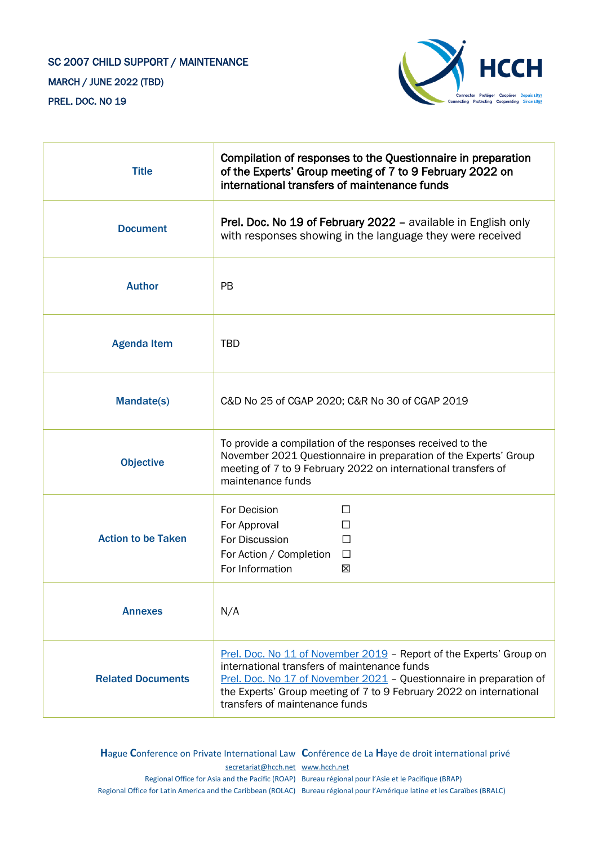## SC 2007 CHILD SUPPORT / MAINTENANCE MARCH / JUNE 2022 (TBD) PREL. DOC. NO 19



| <b>Title</b>              | Compilation of responses to the Questionnaire in preparation<br>of the Experts' Group meeting of 7 to 9 February 2022 on<br>international transfers of maintenance funds                                                                                                                            |  |
|---------------------------|-----------------------------------------------------------------------------------------------------------------------------------------------------------------------------------------------------------------------------------------------------------------------------------------------------|--|
| <b>Document</b>           | Prel. Doc. No 19 of February 2022 - available in English only<br>with responses showing in the language they were received                                                                                                                                                                          |  |
| <b>Author</b>             | <b>PB</b>                                                                                                                                                                                                                                                                                           |  |
| <b>Agenda Item</b>        | <b>TBD</b>                                                                                                                                                                                                                                                                                          |  |
| <b>Mandate(s)</b>         | C&D No 25 of CGAP 2020; C&R No 30 of CGAP 2019                                                                                                                                                                                                                                                      |  |
| <b>Objective</b>          | To provide a compilation of the responses received to the<br>November 2021 Questionnaire in preparation of the Experts' Group<br>meeting of 7 to 9 February 2022 on international transfers of<br>maintenance funds                                                                                 |  |
| <b>Action to be Taken</b> | For Decision<br>П<br>For Approval<br>For Discussion<br>$\Box$<br>For Action / Completion<br>$\Box$<br>For Information<br>⊠                                                                                                                                                                          |  |
| <b>Annexes</b>            | N/A                                                                                                                                                                                                                                                                                                 |  |
| <b>Related Documents</b>  | Prel. Doc. No 11 of November 2019 - Report of the Experts' Group on<br>international transfers of maintenance funds<br>Prel. Doc. No 17 of November 2021 - Questionnaire in preparation of<br>the Experts' Group meeting of 7 to 9 February 2022 on international<br>transfers of maintenance funds |  |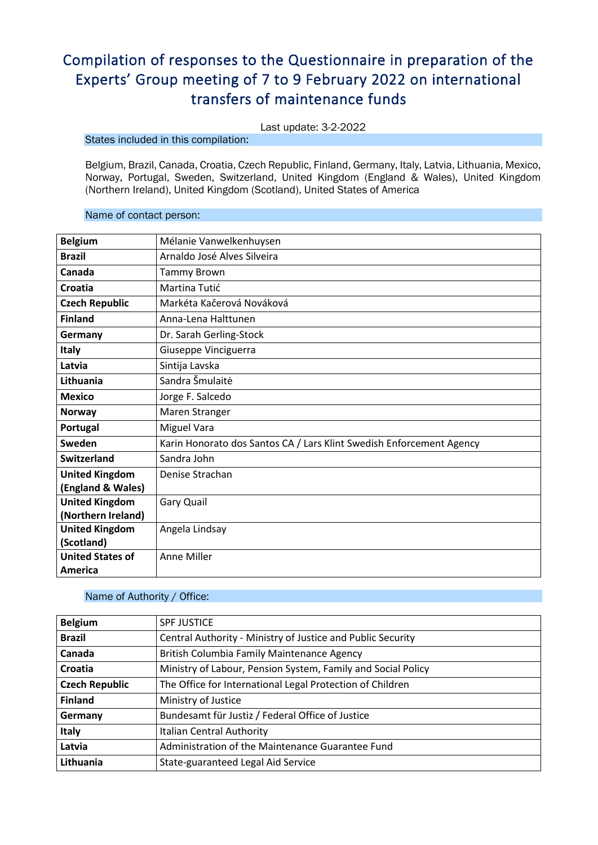# Compilation of responses to the Questionnaire in preparation of the Experts' Group meeting of 7 to 9 February 2022 on international transfers of maintenance funds

Last update: 3-2-2022

### States included in this compilation:

Belgium, Brazil, Canada, Croatia, Czech Republic, Finland, Germany, Italy, Latvia, Lithuania, Mexico, Norway, Portugal, Sweden, Switzerland, United Kingdom (England & Wales), United Kingdom (Northern Ireland), United Kingdom (Scotland), United States of America

### Name of contact person:

| <b>Belgium</b>          | Mélanie Vanwelkenhuysen                                              |
|-------------------------|----------------------------------------------------------------------|
| <b>Brazil</b>           | Arnaldo José Alves Silveira                                          |
| Canada                  | <b>Tammy Brown</b>                                                   |
| Croatia                 | Martina Tutić                                                        |
| <b>Czech Republic</b>   | Markéta Kačerová Nováková                                            |
| <b>Finland</b>          | Anna-Lena Halttunen                                                  |
| Germany                 | Dr. Sarah Gerling-Stock                                              |
| <b>Italy</b>            | Giuseppe Vinciguerra                                                 |
| Latvia                  | Sintija Lavska                                                       |
| Lithuania               | Sandra Šmulaitė                                                      |
| <b>Mexico</b>           | Jorge F. Salcedo                                                     |
| Norway                  | Maren Stranger                                                       |
| Portugal                | Miguel Vara                                                          |
| Sweden                  | Karin Honorato dos Santos CA / Lars Klint Swedish Enforcement Agency |
| <b>Switzerland</b>      | Sandra John                                                          |
| <b>United Kingdom</b>   | Denise Strachan                                                      |
| (England & Wales)       |                                                                      |
| <b>United Kingdom</b>   | Gary Quail                                                           |
| (Northern Ireland)      |                                                                      |
| <b>United Kingdom</b>   | Angela Lindsay                                                       |
| (Scotland)              |                                                                      |
| <b>United States of</b> | Anne Miller                                                          |
| America                 |                                                                      |

### Name of Authority / Office:

| <b>Belgium</b>        | <b>SPF JUSTICE</b>                                           |
|-----------------------|--------------------------------------------------------------|
| <b>Brazil</b>         | Central Authority - Ministry of Justice and Public Security  |
| Canada                | British Columbia Family Maintenance Agency                   |
| Croatia               | Ministry of Labour, Pension System, Family and Social Policy |
| <b>Czech Republic</b> | The Office for International Legal Protection of Children    |
| <b>Finland</b>        | Ministry of Justice                                          |
| Germany               | Bundesamt für Justiz / Federal Office of Justice             |
| <b>Italy</b>          | Italian Central Authority                                    |
| Latvia                | Administration of the Maintenance Guarantee Fund             |
| Lithuania             | State-guaranteed Legal Aid Service                           |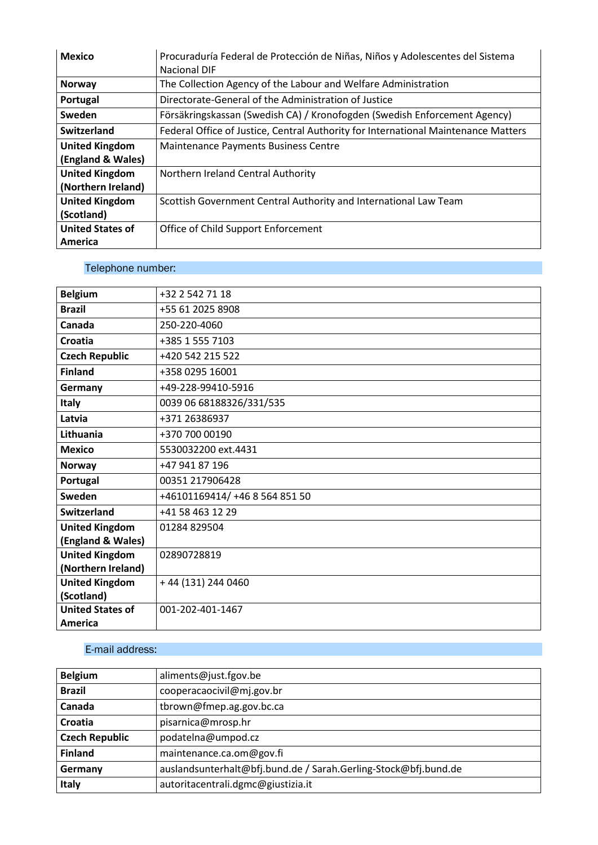| <b>Mexico</b>           | Procuraduría Federal de Protección de Niñas, Niños y Adolescentes del Sistema      |
|-------------------------|------------------------------------------------------------------------------------|
|                         | Nacional DIF                                                                       |
| <b>Norway</b>           | The Collection Agency of the Labour and Welfare Administration                     |
| Portugal                | Directorate-General of the Administration of Justice                               |
| Sweden                  | Försäkringskassan (Swedish CA) / Kronofogden (Swedish Enforcement Agency)          |
| Switzerland             | Federal Office of Justice, Central Authority for International Maintenance Matters |
| <b>United Kingdom</b>   | Maintenance Payments Business Centre                                               |
| (England & Wales)       |                                                                                    |
| <b>United Kingdom</b>   | Northern Ireland Central Authority                                                 |
| (Northern Ireland)      |                                                                                    |
| <b>United Kingdom</b>   | Scottish Government Central Authority and International Law Team                   |
| (Scotland)              |                                                                                    |
| <b>United States of</b> | Office of Child Support Enforcement                                                |
| America                 |                                                                                    |

### Telephone number:

| <b>Belgium</b>          | +32 2 542 71 18                |
|-------------------------|--------------------------------|
| <b>Brazil</b>           | +55 61 2025 8908               |
| Canada                  | 250-220-4060                   |
| <b>Croatia</b>          | +385 1 555 7103                |
| <b>Czech Republic</b>   | +420 542 215 522               |
| <b>Finland</b>          | +358 0295 16001                |
| Germany                 | +49-228-99410-5916             |
| <b>Italy</b>            | 0039 06 68188326/331/535       |
| Latvia                  | +371 26386937                  |
| Lithuania               | +370 700 00190                 |
| <b>Mexico</b>           | 5530032200 ext.4431            |
| <b>Norway</b>           | +47 941 87 196                 |
| Portugal                | 00351 217906428                |
| Sweden                  | +46101169414/ +46 8 564 851 50 |
| <b>Switzerland</b>      | +41 58 463 12 29               |
| <b>United Kingdom</b>   | 01284 829504                   |
| (England & Wales)       |                                |
| <b>United Kingdom</b>   | 02890728819                    |
| (Northern Ireland)      |                                |
| <b>United Kingdom</b>   | +44 (131) 244 0460             |
| (Scotland)              |                                |
| <b>United States of</b> | 001-202-401-1467               |
| America                 |                                |
|                         |                                |

### E-mail address:

| <b>Belgium</b>        | aliments@just.fgov.be                                           |
|-----------------------|-----------------------------------------------------------------|
| <b>Brazil</b>         | cooperacaocivil@mj.gov.br                                       |
| Canada                | tbrown@fmep.ag.gov.bc.ca                                        |
| Croatia               | pisarnica@mrosp.hr                                              |
| <b>Czech Republic</b> | podatelna@umpod.cz                                              |
| <b>Finland</b>        | maintenance.ca.om@gov.fi                                        |
| Germany               | auslandsunterhalt@bfj.bund.de / Sarah.Gerling-Stock@bfj.bund.de |
| Italy                 | autoritacentrali.dgmc@giustizia.it                              |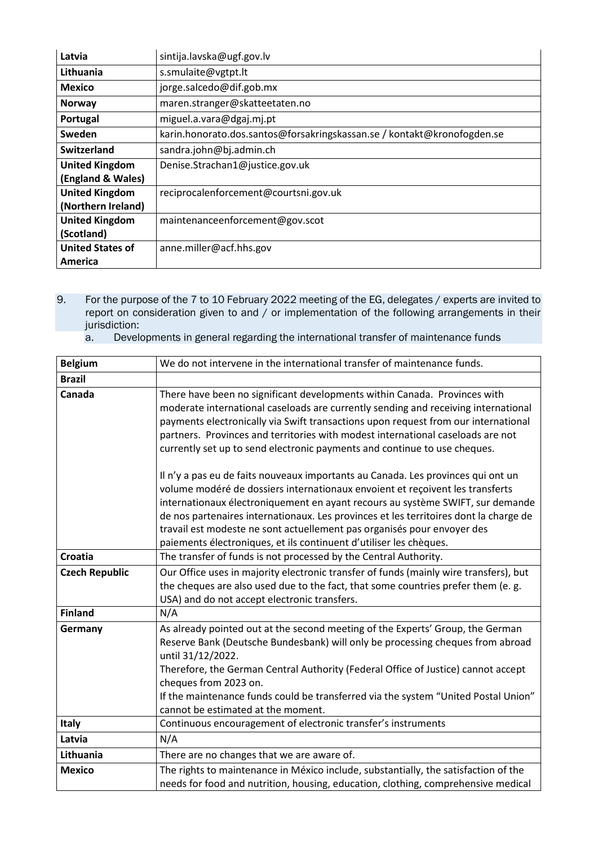| Latvia                  | sintija.lavska@ugf.gov.lv                                               |
|-------------------------|-------------------------------------------------------------------------|
| Lithuania               | s.smulaite@vgtpt.lt                                                     |
| <b>Mexico</b>           | jorge.salcedo@dif.gob.mx                                                |
| <b>Norway</b>           | maren.stranger@skatteetaten.no                                          |
| Portugal                | miguel.a.vara@dgaj.mj.pt                                                |
| Sweden                  | karin.honorato.dos.santos@forsakringskassan.se / kontakt@kronofogden.se |
| <b>Switzerland</b>      | sandra.john@bj.admin.ch                                                 |
| <b>United Kingdom</b>   | Denise.Strachan1@justice.gov.uk                                         |
| (England & Wales)       |                                                                         |
| <b>United Kingdom</b>   | reciprocalenforcement@courtsni.gov.uk                                   |
| (Northern Ireland)      |                                                                         |
| <b>United Kingdom</b>   | maintenanceenforcement@gov.scot                                         |
| (Scotland)              |                                                                         |
| <b>United States of</b> | anne.miller@acf.hhs.gov                                                 |
| America                 |                                                                         |

- 9. For the purpose of the 7 to 10 February 2022 meeting of the EG, delegates / experts are invited to report on consideration given to and / or implementation of the following arrangements in their jurisdiction:
	- a. Developments in general regarding the international transfer of maintenance funds

| <b>Belgium</b>        | We do not intervene in the international transfer of maintenance funds.                                                                                                                                                                                                                                                                                                                                                                                                                       |
|-----------------------|-----------------------------------------------------------------------------------------------------------------------------------------------------------------------------------------------------------------------------------------------------------------------------------------------------------------------------------------------------------------------------------------------------------------------------------------------------------------------------------------------|
| <b>Brazil</b>         |                                                                                                                                                                                                                                                                                                                                                                                                                                                                                               |
| Canada                | There have been no significant developments within Canada. Provinces with<br>moderate international caseloads are currently sending and receiving international<br>payments electronically via Swift transactions upon request from our international<br>partners. Provinces and territories with modest international caseloads are not<br>currently set up to send electronic payments and continue to use cheques.                                                                         |
|                       | Il n'y a pas eu de faits nouveaux importants au Canada. Les provinces qui ont un<br>volume modéré de dossiers internationaux envoient et reçoivent les transferts<br>internationaux électroniquement en ayant recours au système SWIFT, sur demande<br>de nos partenaires internationaux. Les provinces et les territoires dont la charge de<br>travail est modeste ne sont actuellement pas organisés pour envoyer des<br>paiements électroniques, et ils continuent d'utiliser les chèques. |
| <b>Croatia</b>        | The transfer of funds is not processed by the Central Authority.                                                                                                                                                                                                                                                                                                                                                                                                                              |
| <b>Czech Republic</b> | Our Office uses in majority electronic transfer of funds (mainly wire transfers), but<br>the cheques are also used due to the fact, that some countries prefer them (e. g.<br>USA) and do not accept electronic transfers.                                                                                                                                                                                                                                                                    |
| <b>Finland</b>        | N/A                                                                                                                                                                                                                                                                                                                                                                                                                                                                                           |
| Germany               | As already pointed out at the second meeting of the Experts' Group, the German<br>Reserve Bank (Deutsche Bundesbank) will only be processing cheques from abroad<br>until 31/12/2022.<br>Therefore, the German Central Authority (Federal Office of Justice) cannot accept<br>cheques from 2023 on.<br>If the maintenance funds could be transferred via the system "United Postal Union"<br>cannot be estimated at the moment.                                                               |
| <b>Italy</b>          | Continuous encouragement of electronic transfer's instruments                                                                                                                                                                                                                                                                                                                                                                                                                                 |
| Latvia                | N/A                                                                                                                                                                                                                                                                                                                                                                                                                                                                                           |
| Lithuania             | There are no changes that we are aware of.                                                                                                                                                                                                                                                                                                                                                                                                                                                    |
| <b>Mexico</b>         | The rights to maintenance in México include, substantially, the satisfaction of the<br>needs for food and nutrition, housing, education, clothing, comprehensive medical                                                                                                                                                                                                                                                                                                                      |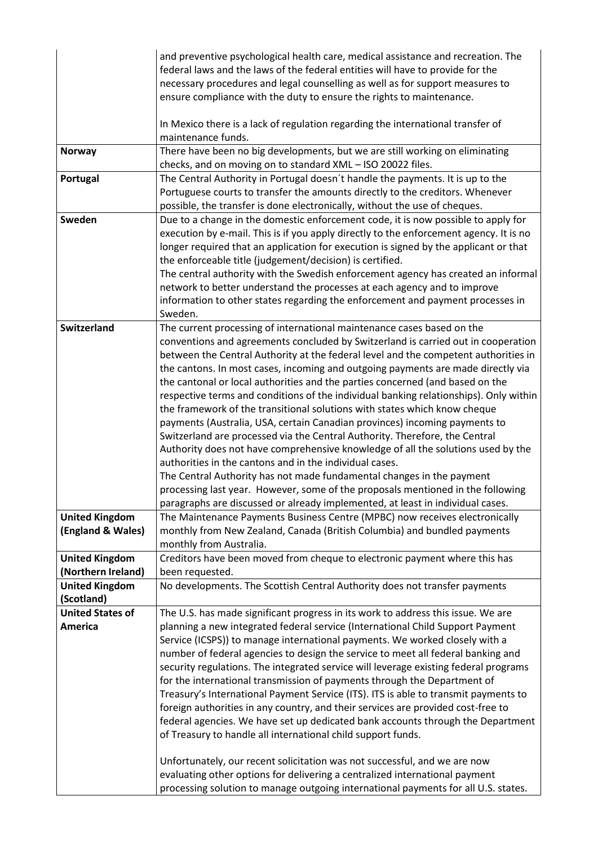|                                     | and preventive psychological health care, medical assistance and recreation. The<br>federal laws and the laws of the federal entities will have to provide for the<br>necessary procedures and legal counselling as well as for support measures to<br>ensure compliance with the duty to ensure the rights to maintenance.                                                                                                                                                                                                                                                                                                                                                                                                                                                                                                                                                                            |
|-------------------------------------|--------------------------------------------------------------------------------------------------------------------------------------------------------------------------------------------------------------------------------------------------------------------------------------------------------------------------------------------------------------------------------------------------------------------------------------------------------------------------------------------------------------------------------------------------------------------------------------------------------------------------------------------------------------------------------------------------------------------------------------------------------------------------------------------------------------------------------------------------------------------------------------------------------|
|                                     | In Mexico there is a lack of regulation regarding the international transfer of<br>maintenance funds.                                                                                                                                                                                                                                                                                                                                                                                                                                                                                                                                                                                                                                                                                                                                                                                                  |
| <b>Norway</b>                       | There have been no big developments, but we are still working on eliminating<br>checks, and on moving on to standard XML - ISO 20022 files.                                                                                                                                                                                                                                                                                                                                                                                                                                                                                                                                                                                                                                                                                                                                                            |
| Portugal                            | The Central Authority in Portugal doesn't handle the payments. It is up to the<br>Portuguese courts to transfer the amounts directly to the creditors. Whenever<br>possible, the transfer is done electronically, without the use of cheques.                                                                                                                                                                                                                                                                                                                                                                                                                                                                                                                                                                                                                                                          |
| Sweden                              | Due to a change in the domestic enforcement code, it is now possible to apply for<br>execution by e-mail. This is if you apply directly to the enforcement agency. It is no<br>longer required that an application for execution is signed by the applicant or that<br>the enforceable title (judgement/decision) is certified.<br>The central authority with the Swedish enforcement agency has created an informal<br>network to better understand the processes at each agency and to improve<br>information to other states regarding the enforcement and payment processes in<br>Sweden.                                                                                                                                                                                                                                                                                                          |
| <b>Switzerland</b>                  | The current processing of international maintenance cases based on the<br>conventions and agreements concluded by Switzerland is carried out in cooperation                                                                                                                                                                                                                                                                                                                                                                                                                                                                                                                                                                                                                                                                                                                                            |
|                                     | between the Central Authority at the federal level and the competent authorities in<br>the cantons. In most cases, incoming and outgoing payments are made directly via<br>the cantonal or local authorities and the parties concerned (and based on the<br>respective terms and conditions of the individual banking relationships). Only within<br>the framework of the transitional solutions with states which know cheque<br>payments (Australia, USA, certain Canadian provinces) incoming payments to<br>Switzerland are processed via the Central Authority. Therefore, the Central<br>Authority does not have comprehensive knowledge of all the solutions used by the<br>authorities in the cantons and in the individual cases.<br>The Central Authority has not made fundamental changes in the payment<br>processing last year. However, some of the proposals mentioned in the following |
|                                     | paragraphs are discussed or already implemented, at least in individual cases.                                                                                                                                                                                                                                                                                                                                                                                                                                                                                                                                                                                                                                                                                                                                                                                                                         |
| <b>United Kingdom</b>               | The Maintenance Payments Business Centre (MPBC) now receives electronically                                                                                                                                                                                                                                                                                                                                                                                                                                                                                                                                                                                                                                                                                                                                                                                                                            |
| (England & Wales)                   | monthly from New Zealand, Canada (British Columbia) and bundled payments<br>monthly from Australia.                                                                                                                                                                                                                                                                                                                                                                                                                                                                                                                                                                                                                                                                                                                                                                                                    |
| <b>United Kingdom</b>               | Creditors have been moved from cheque to electronic payment where this has                                                                                                                                                                                                                                                                                                                                                                                                                                                                                                                                                                                                                                                                                                                                                                                                                             |
| (Northern Ireland)                  | been requested.                                                                                                                                                                                                                                                                                                                                                                                                                                                                                                                                                                                                                                                                                                                                                                                                                                                                                        |
| <b>United Kingdom</b><br>(Scotland) | No developments. The Scottish Central Authority does not transfer payments                                                                                                                                                                                                                                                                                                                                                                                                                                                                                                                                                                                                                                                                                                                                                                                                                             |
| <b>United States of</b>             | The U.S. has made significant progress in its work to address this issue. We are                                                                                                                                                                                                                                                                                                                                                                                                                                                                                                                                                                                                                                                                                                                                                                                                                       |
| <b>America</b>                      | planning a new integrated federal service (International Child Support Payment                                                                                                                                                                                                                                                                                                                                                                                                                                                                                                                                                                                                                                                                                                                                                                                                                         |
|                                     | Service (ICSPS)) to manage international payments. We worked closely with a                                                                                                                                                                                                                                                                                                                                                                                                                                                                                                                                                                                                                                                                                                                                                                                                                            |
|                                     | number of federal agencies to design the service to meet all federal banking and                                                                                                                                                                                                                                                                                                                                                                                                                                                                                                                                                                                                                                                                                                                                                                                                                       |
|                                     | security regulations. The integrated service will leverage existing federal programs                                                                                                                                                                                                                                                                                                                                                                                                                                                                                                                                                                                                                                                                                                                                                                                                                   |
|                                     | for the international transmission of payments through the Department of                                                                                                                                                                                                                                                                                                                                                                                                                                                                                                                                                                                                                                                                                                                                                                                                                               |
|                                     | Treasury's International Payment Service (ITS). ITS is able to transmit payments to<br>foreign authorities in any country, and their services are provided cost-free to                                                                                                                                                                                                                                                                                                                                                                                                                                                                                                                                                                                                                                                                                                                                |
|                                     | federal agencies. We have set up dedicated bank accounts through the Department                                                                                                                                                                                                                                                                                                                                                                                                                                                                                                                                                                                                                                                                                                                                                                                                                        |
|                                     | of Treasury to handle all international child support funds.                                                                                                                                                                                                                                                                                                                                                                                                                                                                                                                                                                                                                                                                                                                                                                                                                                           |
|                                     | Unfortunately, our recent solicitation was not successful, and we are now                                                                                                                                                                                                                                                                                                                                                                                                                                                                                                                                                                                                                                                                                                                                                                                                                              |
|                                     | evaluating other options for delivering a centralized international payment                                                                                                                                                                                                                                                                                                                                                                                                                                                                                                                                                                                                                                                                                                                                                                                                                            |
|                                     | processing solution to manage outgoing international payments for all U.S. states.                                                                                                                                                                                                                                                                                                                                                                                                                                                                                                                                                                                                                                                                                                                                                                                                                     |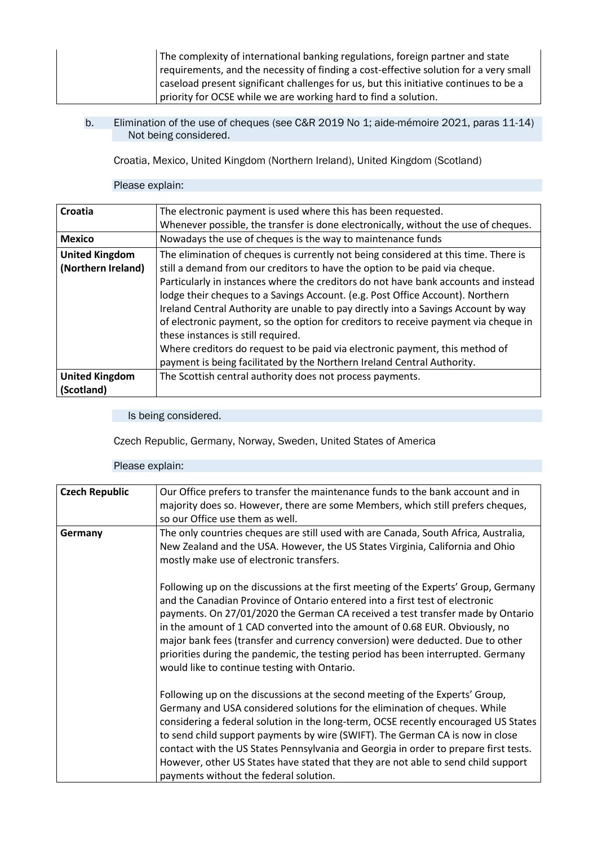The complexity of international banking regulations, foreign partner and state requirements, and the necessity of finding a cost-effective solution for a very small caseload present significant challenges for us, but this initiative continues to be a priority for OCSE while we are working hard to find a solution.

### b. Elimination of the use of cheques (see C&R 2019 No 1; aide-mémoire 2021, paras 11-14) Not being considered.

Croatia, Mexico, United Kingdom (Northern Ireland), United Kingdom (Scotland)

#### Please explain:

| Croatia               | The electronic payment is used where this has been requested.                       |
|-----------------------|-------------------------------------------------------------------------------------|
|                       | Whenever possible, the transfer is done electronically, without the use of cheques. |
| <b>Mexico</b>         | Nowadays the use of cheques is the way to maintenance funds                         |
| <b>United Kingdom</b> | The elimination of cheques is currently not being considered at this time. There is |
| (Northern Ireland)    | still a demand from our creditors to have the option to be paid via cheque.         |
|                       | Particularly in instances where the creditors do not have bank accounts and instead |
|                       | lodge their cheques to a Savings Account. (e.g. Post Office Account). Northern      |
|                       | Ireland Central Authority are unable to pay directly into a Savings Account by way  |
|                       | of electronic payment, so the option for creditors to receive payment via cheque in |
|                       | these instances is still required.                                                  |
|                       | Where creditors do request to be paid via electronic payment, this method of        |
|                       | payment is being facilitated by the Northern Ireland Central Authority.             |
| <b>United Kingdom</b> | The Scottish central authority does not process payments.                           |
| (Scotland)            |                                                                                     |

### Is being considered.

Czech Republic, Germany, Norway, Sweden, United States of America

| <b>Czech Republic</b> | Our Office prefers to transfer the maintenance funds to the bank account and in<br>majority does so. However, there are some Members, which still prefers cheques,<br>so our Office use them as well.                                                                                                                                                                                                                                                                                                                                                      |
|-----------------------|------------------------------------------------------------------------------------------------------------------------------------------------------------------------------------------------------------------------------------------------------------------------------------------------------------------------------------------------------------------------------------------------------------------------------------------------------------------------------------------------------------------------------------------------------------|
| Germany               | The only countries cheques are still used with are Canada, South Africa, Australia,<br>New Zealand and the USA. However, the US States Virginia, California and Ohio<br>mostly make use of electronic transfers.                                                                                                                                                                                                                                                                                                                                           |
|                       | Following up on the discussions at the first meeting of the Experts' Group, Germany<br>and the Canadian Province of Ontario entered into a first test of electronic<br>payments. On 27/01/2020 the German CA received a test transfer made by Ontario<br>in the amount of 1 CAD converted into the amount of 0.68 EUR. Obviously, no<br>major bank fees (transfer and currency conversion) were deducted. Due to other<br>priorities during the pandemic, the testing period has been interrupted. Germany<br>would like to continue testing with Ontario. |
|                       | Following up on the discussions at the second meeting of the Experts' Group,<br>Germany and USA considered solutions for the elimination of cheques. While<br>considering a federal solution in the long-term, OCSE recently encouraged US States<br>to send child support payments by wire (SWIFT). The German CA is now in close<br>contact with the US States Pennsylvania and Georgia in order to prepare first tests.<br>However, other US States have stated that they are not able to send child support<br>payments without the federal solution.  |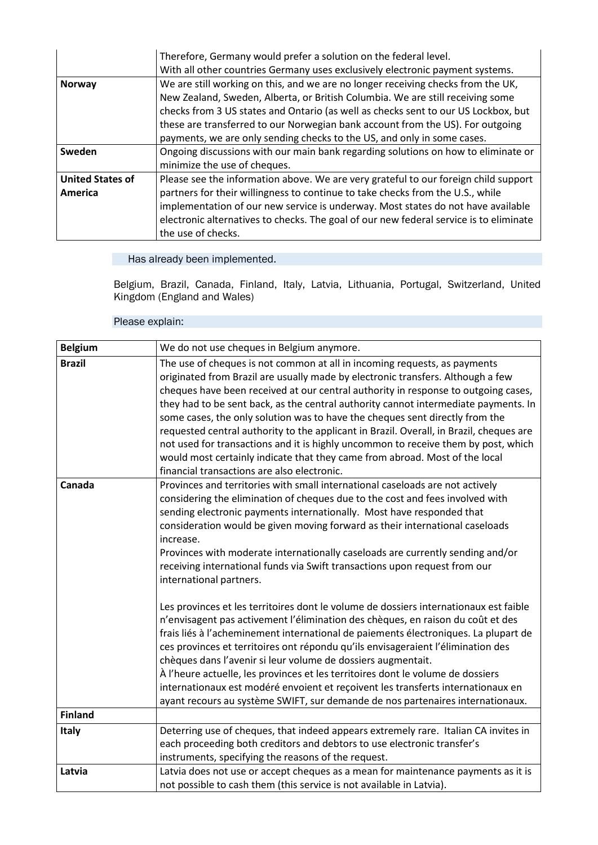|                         | Therefore, Germany would prefer a solution on the federal level.                       |
|-------------------------|----------------------------------------------------------------------------------------|
|                         | With all other countries Germany uses exclusively electronic payment systems.          |
| <b>Norway</b>           | We are still working on this, and we are no longer receiving checks from the UK,       |
|                         | New Zealand, Sweden, Alberta, or British Columbia. We are still receiving some         |
|                         | checks from 3 US states and Ontario (as well as checks sent to our US Lockbox, but     |
|                         | these are transferred to our Norwegian bank account from the US). For outgoing         |
|                         | payments, we are only sending checks to the US, and only in some cases.                |
| Sweden                  | Ongoing discussions with our main bank regarding solutions on how to eliminate or      |
|                         | minimize the use of cheques.                                                           |
| <b>United States of</b> | Please see the information above. We are very grateful to our foreign child support    |
| America                 | partners for their willingness to continue to take checks from the U.S., while         |
|                         | implementation of our new service is underway. Most states do not have available       |
|                         | electronic alternatives to checks. The goal of our new federal service is to eliminate |
|                         | the use of checks.                                                                     |

Belgium, Brazil, Canada, Finland, Italy, Latvia, Lithuania, Portugal, Switzerland, United Kingdom (England and Wales)

| <b>Belgium</b> | We do not use cheques in Belgium anymore.                                                                                                                                                                                                                                                                                                                                                                                                                                                                                                                                                                                                                                                                                                |
|----------------|------------------------------------------------------------------------------------------------------------------------------------------------------------------------------------------------------------------------------------------------------------------------------------------------------------------------------------------------------------------------------------------------------------------------------------------------------------------------------------------------------------------------------------------------------------------------------------------------------------------------------------------------------------------------------------------------------------------------------------------|
| <b>Brazil</b>  | The use of cheques is not common at all in incoming requests, as payments<br>originated from Brazil are usually made by electronic transfers. Although a few<br>cheques have been received at our central authority in response to outgoing cases,<br>they had to be sent back, as the central authority cannot intermediate payments. In<br>some cases, the only solution was to have the cheques sent directly from the<br>requested central authority to the applicant in Brazil. Overall, in Brazil, cheques are<br>not used for transactions and it is highly uncommon to receive them by post, which<br>would most certainly indicate that they came from abroad. Most of the local<br>financial transactions are also electronic. |
| Canada         | Provinces and territories with small international caseloads are not actively<br>considering the elimination of cheques due to the cost and fees involved with<br>sending electronic payments internationally. Most have responded that<br>consideration would be given moving forward as their international caseloads<br>increase.<br>Provinces with moderate internationally caseloads are currently sending and/or<br>receiving international funds via Swift transactions upon request from our<br>international partners.                                                                                                                                                                                                          |
|                | Les provinces et les territoires dont le volume de dossiers internationaux est faible<br>n'envisagent pas activement l'élimination des chèques, en raison du coût et des<br>frais liés à l'acheminement international de paiements électroniques. La plupart de<br>ces provinces et territoires ont répondu qu'ils envisageraient l'élimination des<br>chèques dans l'avenir si leur volume de dossiers augmentait.<br>À l'heure actuelle, les provinces et les territoires dont le volume de dossiers<br>internationaux est modéré envoient et reçoivent les transferts internationaux en<br>ayant recours au système SWIFT, sur demande de nos partenaires internationaux.                                                             |
| <b>Finland</b> |                                                                                                                                                                                                                                                                                                                                                                                                                                                                                                                                                                                                                                                                                                                                          |
| Italy          | Deterring use of cheques, that indeed appears extremely rare. Italian CA invites in<br>each proceeding both creditors and debtors to use electronic transfer's<br>instruments, specifying the reasons of the request.                                                                                                                                                                                                                                                                                                                                                                                                                                                                                                                    |
| Latvia         | Latvia does not use or accept cheques as a mean for maintenance payments as it is<br>not possible to cash them (this service is not available in Latvia).                                                                                                                                                                                                                                                                                                                                                                                                                                                                                                                                                                                |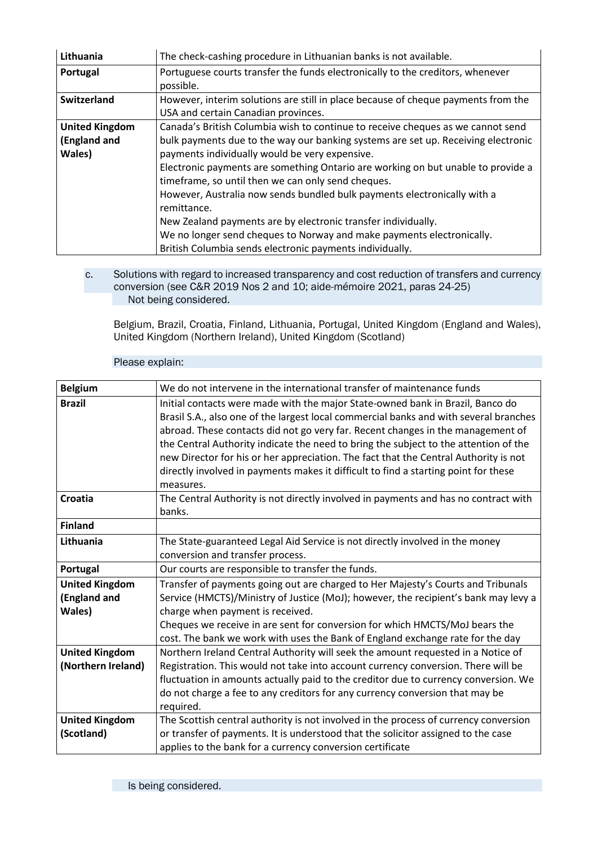| Lithuania             | The check-cashing procedure in Lithuanian banks is not available.                 |
|-----------------------|-----------------------------------------------------------------------------------|
| Portugal              | Portuguese courts transfer the funds electronically to the creditors, whenever    |
|                       | possible.                                                                         |
| Switzerland           | However, interim solutions are still in place because of cheque payments from the |
|                       | USA and certain Canadian provinces.                                               |
| <b>United Kingdom</b> | Canada's British Columbia wish to continue to receive cheques as we cannot send   |
| (England and          | bulk payments due to the way our banking systems are set up. Receiving electronic |
| Wales)                | payments individually would be very expensive.                                    |
|                       | Electronic payments are something Ontario are working on but unable to provide a  |
|                       | timeframe, so until then we can only send cheques.                                |
|                       | However, Australia now sends bundled bulk payments electronically with a          |
|                       | remittance.                                                                       |
|                       | New Zealand payments are by electronic transfer individually.                     |
|                       | We no longer send cheques to Norway and make payments electronically.             |
|                       | British Columbia sends electronic payments individually.                          |

c. Solutions with regard to increased transparency and cost reduction of transfers and currency conversion (see C&R 2019 Nos 2 and 10; aide-mémoire 2021, paras 24-25) Not being considered.

Belgium, Brazil, Croatia, Finland, Lithuania, Portugal, United Kingdom (England and Wales), United Kingdom (Northern Ireland), United Kingdom (Scotland)

| <b>Belgium</b>        | We do not intervene in the international transfer of maintenance funds                |
|-----------------------|---------------------------------------------------------------------------------------|
| <b>Brazil</b>         | Initial contacts were made with the major State-owned bank in Brazil, Banco do        |
|                       | Brasil S.A., also one of the largest local commercial banks and with several branches |
|                       | abroad. These contacts did not go very far. Recent changes in the management of       |
|                       | the Central Authority indicate the need to bring the subject to the attention of the  |
|                       | new Director for his or her appreciation. The fact that the Central Authority is not  |
|                       | directly involved in payments makes it difficult to find a starting point for these   |
|                       | measures.                                                                             |
| <b>Croatia</b>        | The Central Authority is not directly involved in payments and has no contract with   |
|                       | banks.                                                                                |
| <b>Finland</b>        |                                                                                       |
| Lithuania             | The State-guaranteed Legal Aid Service is not directly involved in the money          |
|                       | conversion and transfer process.                                                      |
| Portugal              | Our courts are responsible to transfer the funds.                                     |
| <b>United Kingdom</b> | Transfer of payments going out are charged to Her Majesty's Courts and Tribunals      |
| (England and          | Service (HMCTS)/Ministry of Justice (MoJ); however, the recipient's bank may levy a   |
| Wales)                | charge when payment is received.                                                      |
|                       | Cheques we receive in are sent for conversion for which HMCTS/MoJ bears the           |
|                       | cost. The bank we work with uses the Bank of England exchange rate for the day        |
| <b>United Kingdom</b> | Northern Ireland Central Authority will seek the amount requested in a Notice of      |
| (Northern Ireland)    | Registration. This would not take into account currency conversion. There will be     |
|                       | fluctuation in amounts actually paid to the creditor due to currency conversion. We   |
|                       | do not charge a fee to any creditors for any currency conversion that may be          |
|                       | required.                                                                             |
| <b>United Kingdom</b> | The Scottish central authority is not involved in the process of currency conversion  |
| (Scotland)            | or transfer of payments. It is understood that the solicitor assigned to the case     |
|                       | applies to the bank for a currency conversion certificate                             |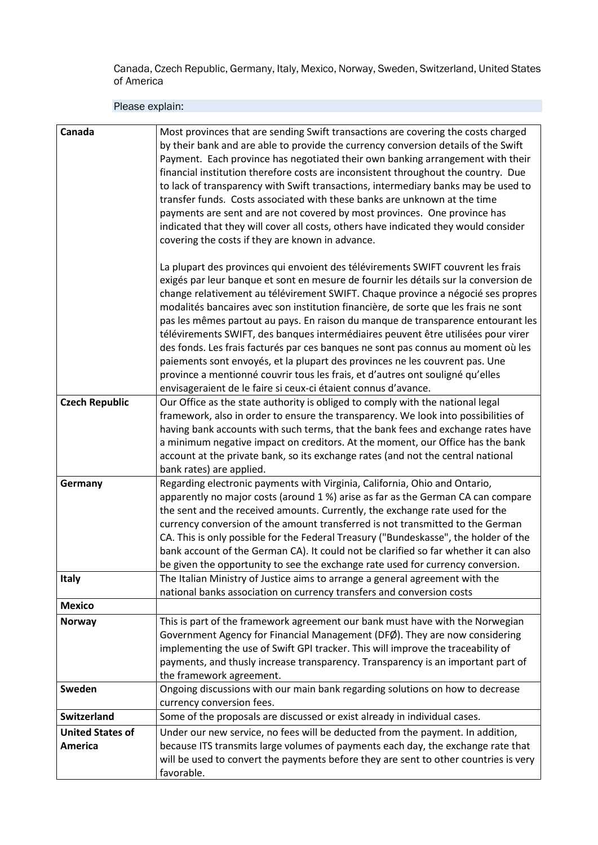Canada, Czech Republic, Germany, Italy, Mexico, Norway, Sweden, Switzerland, United States of America

| Canada                  | Most provinces that are sending Swift transactions are covering the costs charged<br>by their bank and are able to provide the currency conversion details of the Swift<br>Payment. Each province has negotiated their own banking arrangement with their<br>financial institution therefore costs are inconsistent throughout the country. Due<br>to lack of transparency with Swift transactions, intermediary banks may be used to<br>transfer funds. Costs associated with these banks are unknown at the time<br>payments are sent and are not covered by most provinces. One province has<br>indicated that they will cover all costs, others have indicated they would consider<br>covering the costs if they are known in advance.                                                                                                            |
|-------------------------|-------------------------------------------------------------------------------------------------------------------------------------------------------------------------------------------------------------------------------------------------------------------------------------------------------------------------------------------------------------------------------------------------------------------------------------------------------------------------------------------------------------------------------------------------------------------------------------------------------------------------------------------------------------------------------------------------------------------------------------------------------------------------------------------------------------------------------------------------------|
|                         | La plupart des provinces qui envoient des télévirements SWIFT couvrent les frais<br>exigés par leur banque et sont en mesure de fournir les détails sur la conversion de<br>change relativement au télévirement SWIFT. Chaque province a négocié ses propres<br>modalités bancaires avec son institution financière, de sorte que les frais ne sont<br>pas les mêmes partout au pays. En raison du manque de transparence entourant les<br>télévirements SWIFT, des banques intermédiaires peuvent être utilisées pour virer<br>des fonds. Les frais facturés par ces banques ne sont pas connus au moment où les<br>paiements sont envoyés, et la plupart des provinces ne les couvrent pas. Une<br>province a mentionné couvrir tous les frais, et d'autres ont souligné qu'elles<br>envisageraient de le faire si ceux-ci étaient connus d'avance. |
| <b>Czech Republic</b>   | Our Office as the state authority is obliged to comply with the national legal<br>framework, also in order to ensure the transparency. We look into possibilities of<br>having bank accounts with such terms, that the bank fees and exchange rates have<br>a minimum negative impact on creditors. At the moment, our Office has the bank<br>account at the private bank, so its exchange rates (and not the central national<br>bank rates) are applied.                                                                                                                                                                                                                                                                                                                                                                                            |
| Germany                 | Regarding electronic payments with Virginia, California, Ohio and Ontario,<br>apparently no major costs (around 1%) arise as far as the German CA can compare<br>the sent and the received amounts. Currently, the exchange rate used for the<br>currency conversion of the amount transferred is not transmitted to the German<br>CA. This is only possible for the Federal Treasury ("Bundeskasse", the holder of the<br>bank account of the German CA). It could not be clarified so far whether it can also<br>be given the opportunity to see the exchange rate used for currency conversion.                                                                                                                                                                                                                                                    |
| Italy                   | The Italian Ministry of Justice aims to arrange a general agreement with the<br>national banks association on currency transfers and conversion costs                                                                                                                                                                                                                                                                                                                                                                                                                                                                                                                                                                                                                                                                                                 |
| <b>Mexico</b>           |                                                                                                                                                                                                                                                                                                                                                                                                                                                                                                                                                                                                                                                                                                                                                                                                                                                       |
| <b>Norway</b>           | This is part of the framework agreement our bank must have with the Norwegian<br>Government Agency for Financial Management (DFØ). They are now considering<br>implementing the use of Swift GPI tracker. This will improve the traceability of<br>payments, and thusly increase transparency. Transparency is an important part of<br>the framework agreement.                                                                                                                                                                                                                                                                                                                                                                                                                                                                                       |
| Sweden                  | Ongoing discussions with our main bank regarding solutions on how to decrease<br>currency conversion fees.                                                                                                                                                                                                                                                                                                                                                                                                                                                                                                                                                                                                                                                                                                                                            |
| Switzerland             | Some of the proposals are discussed or exist already in individual cases.                                                                                                                                                                                                                                                                                                                                                                                                                                                                                                                                                                                                                                                                                                                                                                             |
| <b>United States of</b> | Under our new service, no fees will be deducted from the payment. In addition,                                                                                                                                                                                                                                                                                                                                                                                                                                                                                                                                                                                                                                                                                                                                                                        |
| <b>America</b>          | because ITS transmits large volumes of payments each day, the exchange rate that<br>will be used to convert the payments before they are sent to other countries is very<br>favorable.                                                                                                                                                                                                                                                                                                                                                                                                                                                                                                                                                                                                                                                                |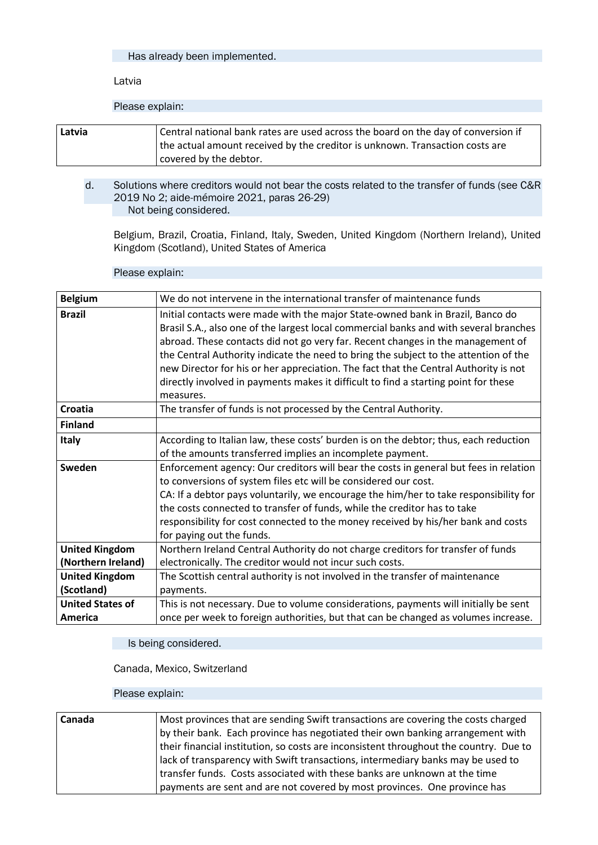Latvia

Please explain:

| Latvia | Central national bank rates are used across the board on the day of conversion if<br>the actual amount received by the creditor is unknown. Transaction costs are |
|--------|-------------------------------------------------------------------------------------------------------------------------------------------------------------------|
|        | covered by the debtor.                                                                                                                                            |

d. Solutions where creditors would not bear the costs related to the transfer of funds (see C&R 2019 No 2; aide-mémoire 2021, paras 26-29) Not being considered.

Belgium, Brazil, Croatia, Finland, Italy, Sweden, United Kingdom (Northern Ireland), United Kingdom (Scotland), United States of America

#### Please explain:

| <b>Belgium</b>          | We do not intervene in the international transfer of maintenance funds                |
|-------------------------|---------------------------------------------------------------------------------------|
| <b>Brazil</b>           | Initial contacts were made with the major State-owned bank in Brazil, Banco do        |
|                         | Brasil S.A., also one of the largest local commercial banks and with several branches |
|                         | abroad. These contacts did not go very far. Recent changes in the management of       |
|                         | the Central Authority indicate the need to bring the subject to the attention of the  |
|                         | new Director for his or her appreciation. The fact that the Central Authority is not  |
|                         | directly involved in payments makes it difficult to find a starting point for these   |
|                         | measures.                                                                             |
| Croatia                 | The transfer of funds is not processed by the Central Authority.                      |
| <b>Finland</b>          |                                                                                       |
| Italy                   | According to Italian law, these costs' burden is on the debtor; thus, each reduction  |
|                         | of the amounts transferred implies an incomplete payment.                             |
| Sweden                  | Enforcement agency: Our creditors will bear the costs in general but fees in relation |
|                         | to conversions of system files etc will be considered our cost.                       |
|                         | CA: If a debtor pays voluntarily, we encourage the him/her to take responsibility for |
|                         | the costs connected to transfer of funds, while the creditor has to take              |
|                         | responsibility for cost connected to the money received by his/her bank and costs     |
|                         | for paying out the funds.                                                             |
| <b>United Kingdom</b>   | Northern Ireland Central Authority do not charge creditors for transfer of funds      |
| (Northern Ireland)      | electronically. The creditor would not incur such costs.                              |
| <b>United Kingdom</b>   | The Scottish central authority is not involved in the transfer of maintenance         |
| (Scotland)              | payments.                                                                             |
| <b>United States of</b> | This is not necessary. Due to volume considerations, payments will initially be sent  |
| America                 | once per week to foreign authorities, but that can be changed as volumes increase.    |

Is being considered.

Canada, Mexico, Switzerland

| Canada | Most provinces that are sending Swift transactions are covering the costs charged     |
|--------|---------------------------------------------------------------------------------------|
|        | by their bank. Each province has negotiated their own banking arrangement with        |
|        | their financial institution, so costs are inconsistent throughout the country. Due to |
|        | lack of transparency with Swift transactions, intermediary banks may be used to       |
|        | transfer funds. Costs associated with these banks are unknown at the time             |
|        | payments are sent and are not covered by most provinces. One province has             |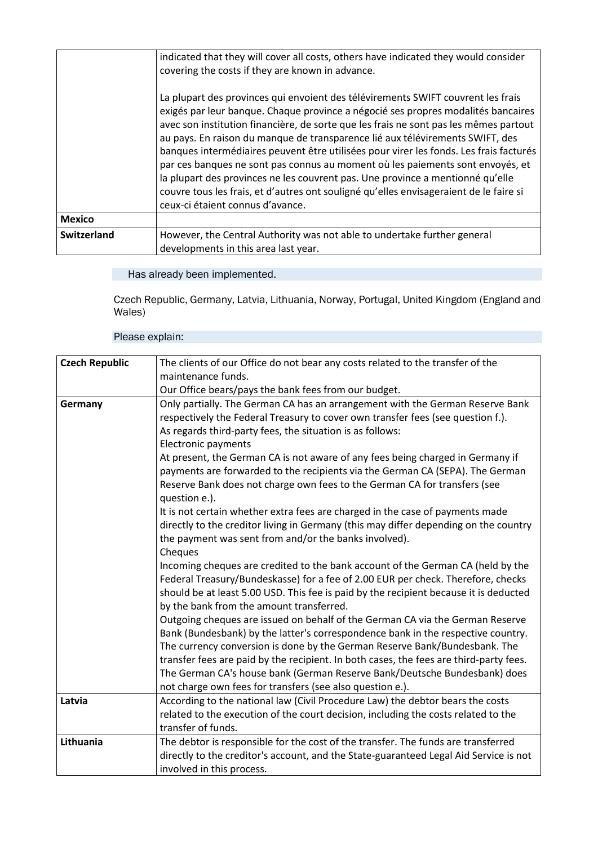|                    | indicated that they will cover all costs, others have indicated they would consider<br>covering the costs if they are known in advance.<br>La plupart des provinces qui envoient des télévirements SWIFT couvrent les frais<br>exigés par leur banque. Chaque province a négocié ses propres modalités bancaires<br>avec son institution financière, de sorte que les frais ne sont pas les mêmes partout<br>au pays. En raison du manque de transparence lié aux télévirements SWIFT, des<br>banques intermédiaires peuvent être utilisées pour virer les fonds. Les frais facturés<br>par ces banques ne sont pas connus au moment où les paiements sont envoyés, et<br>la plupart des provinces ne les couvrent pas. Une province a mentionné qu'elle<br>couvre tous les frais, et d'autres ont souligné qu'elles envisageraient de le faire si<br>ceux-ci étaient connus d'avance. |
|--------------------|----------------------------------------------------------------------------------------------------------------------------------------------------------------------------------------------------------------------------------------------------------------------------------------------------------------------------------------------------------------------------------------------------------------------------------------------------------------------------------------------------------------------------------------------------------------------------------------------------------------------------------------------------------------------------------------------------------------------------------------------------------------------------------------------------------------------------------------------------------------------------------------|
| <b>Mexico</b>      |                                                                                                                                                                                                                                                                                                                                                                                                                                                                                                                                                                                                                                                                                                                                                                                                                                                                                        |
| <b>Switzerland</b> | However, the Central Authority was not able to undertake further general<br>developments in this area last year.                                                                                                                                                                                                                                                                                                                                                                                                                                                                                                                                                                                                                                                                                                                                                                       |

Czech Republic, Germany, Latvia, Lithuania, Norway, Portugal, United Kingdom (England and Wales)

| <b>Czech Republic</b> | The clients of our Office do not bear any costs related to the transfer of the         |
|-----------------------|----------------------------------------------------------------------------------------|
|                       | maintenance funds.                                                                     |
|                       | Our Office bears/pays the bank fees from our budget.                                   |
| Germany               | Only partially. The German CA has an arrangement with the German Reserve Bank          |
|                       | respectively the Federal Treasury to cover own transfer fees (see question f.).        |
|                       | As regards third-party fees, the situation is as follows:                              |
|                       | Electronic payments                                                                    |
|                       | At present, the German CA is not aware of any fees being charged in Germany if         |
|                       | payments are forwarded to the recipients via the German CA (SEPA). The German          |
|                       | Reserve Bank does not charge own fees to the German CA for transfers (see              |
|                       | question e.).                                                                          |
|                       | It is not certain whether extra fees are charged in the case of payments made          |
|                       | directly to the creditor living in Germany (this may differ depending on the country   |
|                       | the payment was sent from and/or the banks involved).                                  |
|                       | Cheques                                                                                |
|                       | Incoming cheques are credited to the bank account of the German CA (held by the        |
|                       | Federal Treasury/Bundeskasse) for a fee of 2.00 EUR per check. Therefore, checks       |
|                       | should be at least 5.00 USD. This fee is paid by the recipient because it is deducted  |
|                       | by the bank from the amount transferred.                                               |
|                       | Outgoing cheques are issued on behalf of the German CA via the German Reserve          |
|                       | Bank (Bundesbank) by the latter's correspondence bank in the respective country.       |
|                       | The currency conversion is done by the German Reserve Bank/Bundesbank. The             |
|                       | transfer fees are paid by the recipient. In both cases, the fees are third-party fees. |
|                       | The German CA's house bank (German Reserve Bank/Deutsche Bundesbank) does              |
|                       | not charge own fees for transfers (see also question e.).                              |
| Latvia                | According to the national law (Civil Procedure Law) the debtor bears the costs         |
|                       | related to the execution of the court decision, including the costs related to the     |
|                       | transfer of funds.                                                                     |
| Lithuania             | The debtor is responsible for the cost of the transfer. The funds are transferred      |
|                       | directly to the creditor's account, and the State-guaranteed Legal Aid Service is not  |
|                       | involved in this process.                                                              |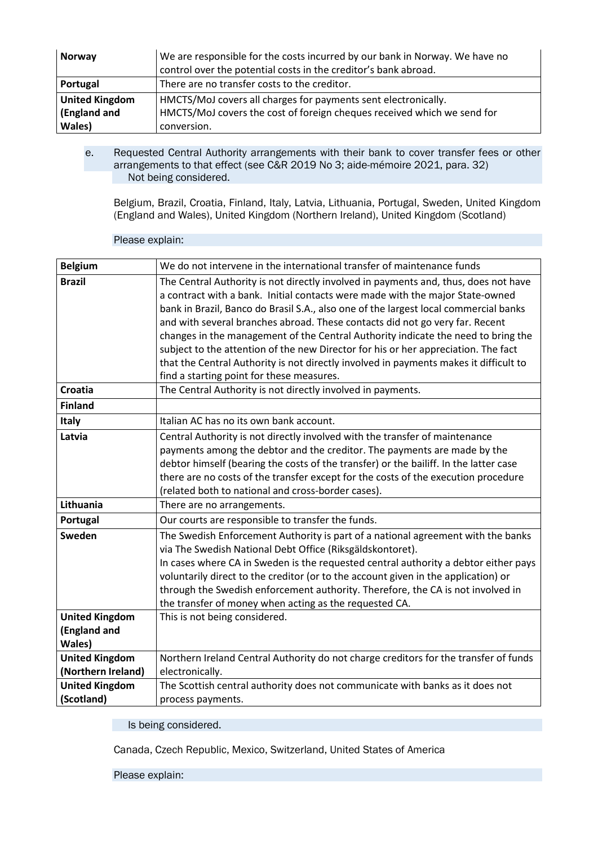| <b>Norway</b>         | We are responsible for the costs incurred by our bank in Norway. We have no<br>control over the potential costs in the creditor's bank abroad. |
|-----------------------|------------------------------------------------------------------------------------------------------------------------------------------------|
| Portugal              | There are no transfer costs to the creditor.                                                                                                   |
| <b>United Kingdom</b> | HMCTS/MoJ covers all charges for payments sent electronically.                                                                                 |
| (England and          | HMCTS/MoJ covers the cost of foreign cheques received which we send for                                                                        |
| Wales)                | conversion.                                                                                                                                    |

e. Requested Central Authority arrangements with their bank to cover transfer fees or other arrangements to that effect (see C&R 2019 No 3; aide-mémoire 2021, para. 32) Not being considered.

Belgium, Brazil, Croatia, Finland, Italy, Latvia, Lithuania, Portugal, Sweden, United Kingdom (England and Wales), United Kingdom (Northern Ireland), United Kingdom (Scotland)

| <b>Belgium</b>        | We do not intervene in the international transfer of maintenance funds                |
|-----------------------|---------------------------------------------------------------------------------------|
| <b>Brazil</b>         | The Central Authority is not directly involved in payments and, thus, does not have   |
|                       | a contract with a bank. Initial contacts were made with the major State-owned         |
|                       | bank in Brazil, Banco do Brasil S.A., also one of the largest local commercial banks  |
|                       | and with several branches abroad. These contacts did not go very far. Recent          |
|                       | changes in the management of the Central Authority indicate the need to bring the     |
|                       | subject to the attention of the new Director for his or her appreciation. The fact    |
|                       | that the Central Authority is not directly involved in payments makes it difficult to |
|                       | find a starting point for these measures.                                             |
| <b>Croatia</b>        | The Central Authority is not directly involved in payments.                           |
| <b>Finland</b>        |                                                                                       |
| Italy                 | Italian AC has no its own bank account.                                               |
| Latvia                | Central Authority is not directly involved with the transfer of maintenance           |
|                       | payments among the debtor and the creditor. The payments are made by the              |
|                       | debtor himself (bearing the costs of the transfer) or the bailiff. In the latter case |
|                       | there are no costs of the transfer except for the costs of the execution procedure    |
|                       | (related both to national and cross-border cases).                                    |
| Lithuania             | There are no arrangements.                                                            |
| Portugal              | Our courts are responsible to transfer the funds.                                     |
| Sweden                | The Swedish Enforcement Authority is part of a national agreement with the banks      |
|                       | via The Swedish National Debt Office (Riksgäldskontoret).                             |
|                       | In cases where CA in Sweden is the requested central authority a debtor either pays   |
|                       | voluntarily direct to the creditor (or to the account given in the application) or    |
|                       | through the Swedish enforcement authority. Therefore, the CA is not involved in       |
|                       | the transfer of money when acting as the requested CA.                                |
| <b>United Kingdom</b> | This is not being considered.                                                         |
| (England and          |                                                                                       |
| Wales)                |                                                                                       |
| <b>United Kingdom</b> | Northern Ireland Central Authority do not charge creditors for the transfer of funds  |
| (Northern Ireland)    | electronically.                                                                       |
| <b>United Kingdom</b> | The Scottish central authority does not communicate with banks as it does not         |
| (Scotland)            | process payments.                                                                     |

Please explain:

Is being considered.

Canada, Czech Republic, Mexico, Switzerland, United States of America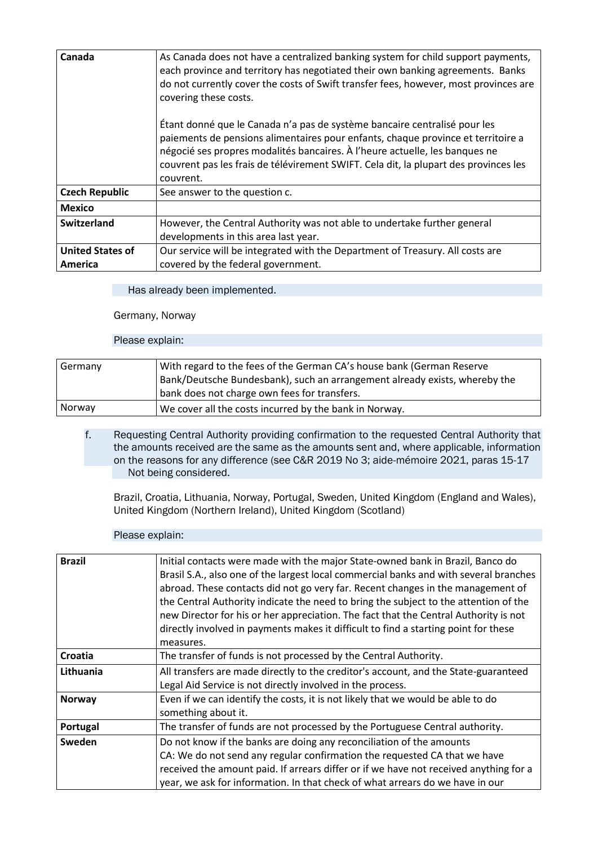| Canada                             | As Canada does not have a centralized banking system for child support payments,<br>each province and territory has negotiated their own banking agreements. Banks<br>do not currently cover the costs of Swift transfer fees, however, most provinces are<br>covering these costs.                                                               |
|------------------------------------|---------------------------------------------------------------------------------------------------------------------------------------------------------------------------------------------------------------------------------------------------------------------------------------------------------------------------------------------------|
|                                    | Étant donné que le Canada n'a pas de système bancaire centralisé pour les<br>paiements de pensions alimentaires pour enfants, chaque province et territoire a<br>négocié ses propres modalités bancaires. À l'heure actuelle, les banques ne<br>couvrent pas les frais de télévirement SWIFT. Cela dit, la plupart des provinces les<br>couvrent. |
| <b>Czech Republic</b>              | See answer to the question c.                                                                                                                                                                                                                                                                                                                     |
| <b>Mexico</b>                      |                                                                                                                                                                                                                                                                                                                                                   |
| Switzerland                        | However, the Central Authority was not able to undertake further general<br>developments in this area last year.                                                                                                                                                                                                                                  |
| <b>United States of</b><br>America | Our service will be integrated with the Department of Treasury. All costs are<br>covered by the federal government.                                                                                                                                                                                                                               |

### Germany, Norway

### Please explain:

| Germany | With regard to the fees of the German CA's house bank (German Reserve<br>Bank/Deutsche Bundesbank), such an arrangement already exists, whereby the<br>bank does not charge own fees for transfers. |
|---------|-----------------------------------------------------------------------------------------------------------------------------------------------------------------------------------------------------|
|         |                                                                                                                                                                                                     |
| Norway  | We cover all the costs incurred by the bank in Norway.                                                                                                                                              |

f. Requesting Central Authority providing confirmation to the requested Central Authority that the amounts received are the same as the amounts sent and, where applicable, information on the reasons for any difference (see C&R 2019 No 3; aide-mémoire 2021, paras 15-17 Not being considered.

Brazil, Croatia, Lithuania, Norway, Portugal, Sweden, United Kingdom (England and Wales), United Kingdom (Northern Ireland), United Kingdom (Scotland)

| <b>Brazil</b> | Initial contacts were made with the major State-owned bank in Brazil, Banco do<br>Brasil S.A., also one of the largest local commercial banks and with several branches<br>abroad. These contacts did not go very far. Recent changes in the management of<br>the Central Authority indicate the need to bring the subject to the attention of the<br>new Director for his or her appreciation. The fact that the Central Authority is not<br>directly involved in payments makes it difficult to find a starting point for these |
|---------------|-----------------------------------------------------------------------------------------------------------------------------------------------------------------------------------------------------------------------------------------------------------------------------------------------------------------------------------------------------------------------------------------------------------------------------------------------------------------------------------------------------------------------------------|
|               | measures.                                                                                                                                                                                                                                                                                                                                                                                                                                                                                                                         |
| Croatia       | The transfer of funds is not processed by the Central Authority.                                                                                                                                                                                                                                                                                                                                                                                                                                                                  |
| Lithuania     | All transfers are made directly to the creditor's account, and the State-guaranteed<br>Legal Aid Service is not directly involved in the process.                                                                                                                                                                                                                                                                                                                                                                                 |
| <b>Norway</b> | Even if we can identify the costs, it is not likely that we would be able to do<br>something about it.                                                                                                                                                                                                                                                                                                                                                                                                                            |
| Portugal      | The transfer of funds are not processed by the Portuguese Central authority.                                                                                                                                                                                                                                                                                                                                                                                                                                                      |
| Sweden        | Do not know if the banks are doing any reconciliation of the amounts<br>CA: We do not send any regular confirmation the requested CA that we have<br>received the amount paid. If arrears differ or if we have not received anything for a<br>year, we ask for information. In that check of what arrears do we have in our                                                                                                                                                                                                       |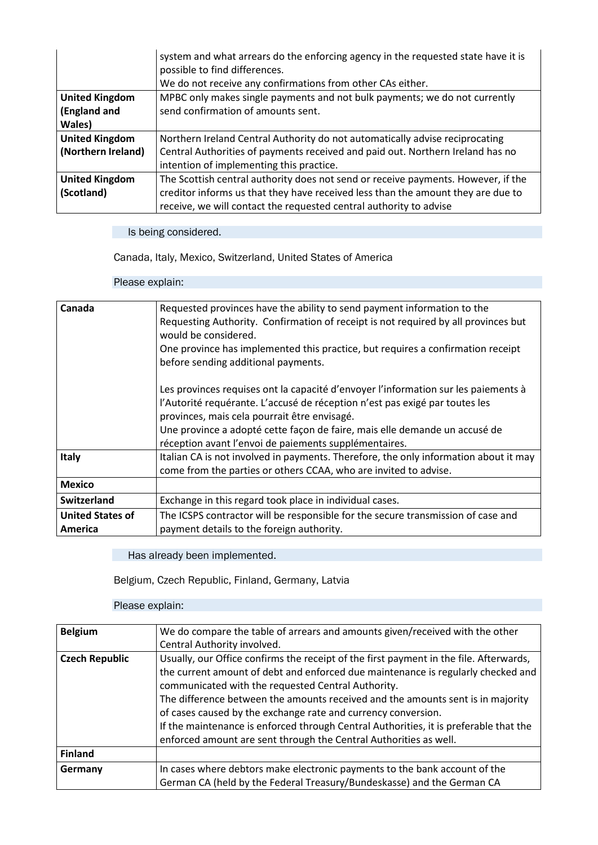|                       | system and what arrears do the enforcing agency in the requested state have it is<br>possible to find differences. |
|-----------------------|--------------------------------------------------------------------------------------------------------------------|
|                       | We do not receive any confirmations from other CAs either.                                                         |
| <b>United Kingdom</b> | MPBC only makes single payments and not bulk payments; we do not currently                                         |
| (England and          | send confirmation of amounts sent.                                                                                 |
| Wales)                |                                                                                                                    |
| <b>United Kingdom</b> | Northern Ireland Central Authority do not automatically advise reciprocating                                       |
| (Northern Ireland)    | Central Authorities of payments received and paid out. Northern Ireland has no                                     |
|                       | intention of implementing this practice.                                                                           |
| <b>United Kingdom</b> | The Scottish central authority does not send or receive payments. However, if the                                  |
| (Scotland)            | creditor informs us that they have received less than the amount they are due to                                   |
|                       | receive, we will contact the requested central authority to advise                                                 |

Is being considered.

Canada, Italy, Mexico, Switzerland, United States of America

### Please explain:

| Canada                  | Requested provinces have the ability to send payment information to the              |
|-------------------------|--------------------------------------------------------------------------------------|
|                         | Requesting Authority. Confirmation of receipt is not required by all provinces but   |
|                         | would be considered.                                                                 |
|                         | One province has implemented this practice, but requires a confirmation receipt      |
|                         | before sending additional payments.                                                  |
|                         | Les provinces requises ont la capacité d'envoyer l'information sur les paiements à   |
|                         | l'Autorité requérante. L'accusé de réception n'est pas exigé par toutes les          |
|                         | provinces, mais cela pourrait être envisagé.                                         |
|                         | Une province a adopté cette façon de faire, mais elle demande un accusé de           |
|                         | réception avant l'envoi de paiements supplémentaires.                                |
| Italy                   | Italian CA is not involved in payments. Therefore, the only information about it may |
|                         | come from the parties or others CCAA, who are invited to advise.                     |
| <b>Mexico</b>           |                                                                                      |
| <b>Switzerland</b>      | Exchange in this regard took place in individual cases.                              |
| <b>United States of</b> | The ICSPS contractor will be responsible for the secure transmission of case and     |
| America                 | payment details to the foreign authority.                                            |

Has already been implemented.

Belgium, Czech Republic, Finland, Germany, Latvia

| <b>Belgium</b>        | We do compare the table of arrears and amounts given/received with the other<br>Central Authority involved.                                                                                                                                                                                                                                                                                                                                                                                                                                        |
|-----------------------|----------------------------------------------------------------------------------------------------------------------------------------------------------------------------------------------------------------------------------------------------------------------------------------------------------------------------------------------------------------------------------------------------------------------------------------------------------------------------------------------------------------------------------------------------|
| <b>Czech Republic</b> | Usually, our Office confirms the receipt of the first payment in the file. Afterwards,<br>the current amount of debt and enforced due maintenance is regularly checked and<br>communicated with the requested Central Authority.<br>The difference between the amounts received and the amounts sent is in majority<br>of cases caused by the exchange rate and currency conversion.<br>If the maintenance is enforced through Central Authorities, it is preferable that the<br>enforced amount are sent through the Central Authorities as well. |
| <b>Finland</b>        |                                                                                                                                                                                                                                                                                                                                                                                                                                                                                                                                                    |
| Germany               | In cases where debtors make electronic payments to the bank account of the<br>German CA (held by the Federal Treasury/Bundeskasse) and the German CA                                                                                                                                                                                                                                                                                                                                                                                               |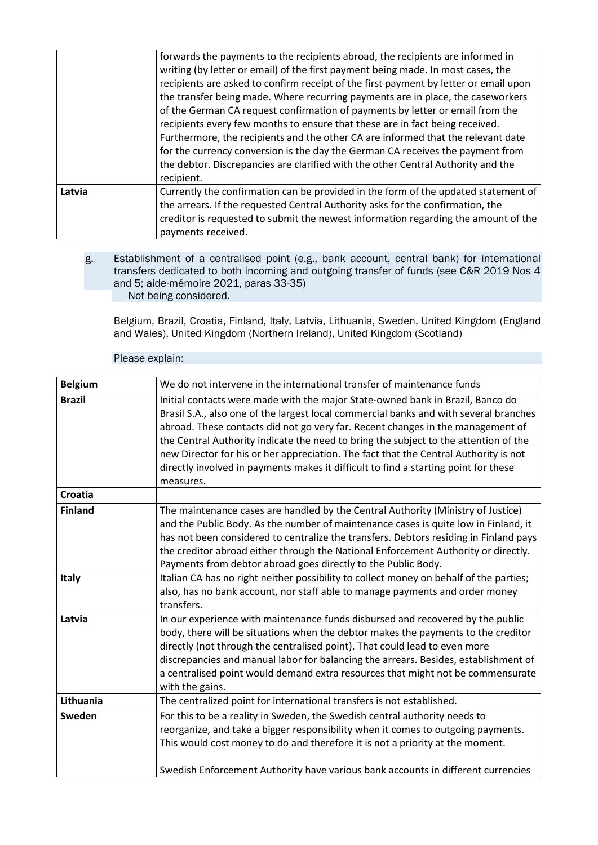|        | forwards the payments to the recipients abroad, the recipients are informed in<br>writing (by letter or email) of the first payment being made. In most cases, the<br>recipients are asked to confirm receipt of the first payment by letter or email upon<br>the transfer being made. Where recurring payments are in place, the caseworkers<br>of the German CA request confirmation of payments by letter or email from the<br>recipients every few months to ensure that these are in fact being received.<br>Furthermore, the recipients and the other CA are informed that the relevant date<br>for the currency conversion is the day the German CA receives the payment from<br>the debtor. Discrepancies are clarified with the other Central Authority and the<br>recipient. |
|--------|----------------------------------------------------------------------------------------------------------------------------------------------------------------------------------------------------------------------------------------------------------------------------------------------------------------------------------------------------------------------------------------------------------------------------------------------------------------------------------------------------------------------------------------------------------------------------------------------------------------------------------------------------------------------------------------------------------------------------------------------------------------------------------------|
| Latvia | Currently the confirmation can be provided in the form of the updated statement of<br>the arrears. If the requested Central Authority asks for the confirmation, the<br>creditor is requested to submit the newest information regarding the amount of the<br>payments received.                                                                                                                                                                                                                                                                                                                                                                                                                                                                                                       |

### g. Establishment of a centralised point (e.g., bank account, central bank) for international transfers dedicated to both incoming and outgoing transfer of funds (see C&R 2019 Nos 4 and 5; aide-mémoire 2021, paras 33-35) Not being considered.

Belgium, Brazil, Croatia, Finland, Italy, Latvia, Lithuania, Sweden, United Kingdom (England and Wales), United Kingdom (Northern Ireland), United Kingdom (Scotland)

| <b>Belgium</b> | We do not intervene in the international transfer of maintenance funds                                                                                                                                                                                                                                                                                                                                                                                                                                                                         |
|----------------|------------------------------------------------------------------------------------------------------------------------------------------------------------------------------------------------------------------------------------------------------------------------------------------------------------------------------------------------------------------------------------------------------------------------------------------------------------------------------------------------------------------------------------------------|
| <b>Brazil</b>  | Initial contacts were made with the major State-owned bank in Brazil, Banco do<br>Brasil S.A., also one of the largest local commercial banks and with several branches<br>abroad. These contacts did not go very far. Recent changes in the management of<br>the Central Authority indicate the need to bring the subject to the attention of the<br>new Director for his or her appreciation. The fact that the Central Authority is not<br>directly involved in payments makes it difficult to find a starting point for these<br>measures. |
| <b>Croatia</b> |                                                                                                                                                                                                                                                                                                                                                                                                                                                                                                                                                |
| <b>Finland</b> | The maintenance cases are handled by the Central Authority (Ministry of Justice)<br>and the Public Body. As the number of maintenance cases is quite low in Finland, it<br>has not been considered to centralize the transfers. Debtors residing in Finland pays<br>the creditor abroad either through the National Enforcement Authority or directly.<br>Payments from debtor abroad goes directly to the Public Body.                                                                                                                        |
| Italy          | Italian CA has no right neither possibility to collect money on behalf of the parties;<br>also, has no bank account, nor staff able to manage payments and order money<br>transfers.                                                                                                                                                                                                                                                                                                                                                           |
| Latvia         | In our experience with maintenance funds disbursed and recovered by the public<br>body, there will be situations when the debtor makes the payments to the creditor<br>directly (not through the centralised point). That could lead to even more<br>discrepancies and manual labor for balancing the arrears. Besides, establishment of<br>a centralised point would demand extra resources that might not be commensurate<br>with the gains.                                                                                                 |
| Lithuania      | The centralized point for international transfers is not established.                                                                                                                                                                                                                                                                                                                                                                                                                                                                          |
| Sweden         | For this to be a reality in Sweden, the Swedish central authority needs to<br>reorganize, and take a bigger responsibility when it comes to outgoing payments.<br>This would cost money to do and therefore it is not a priority at the moment.<br>Swedish Enforcement Authority have various bank accounts in different currencies                                                                                                                                                                                                            |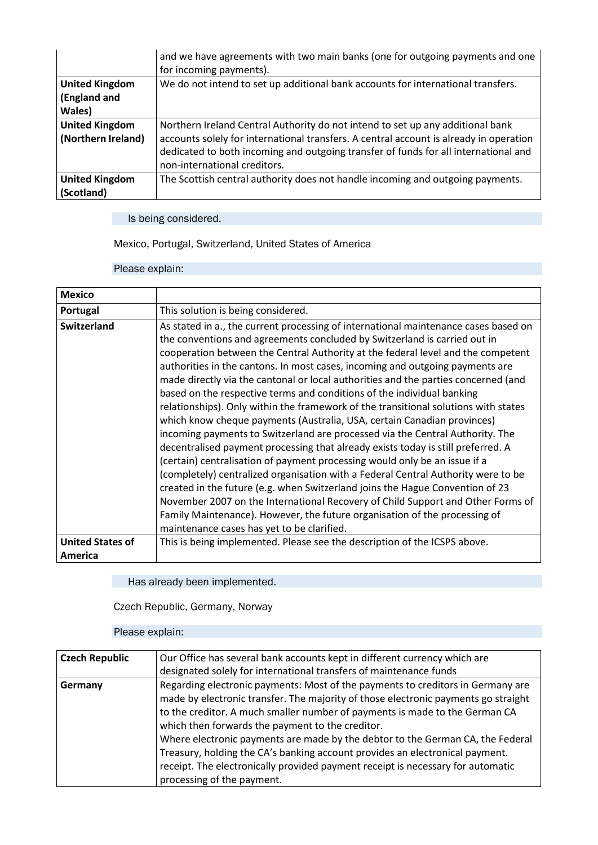|                       | and we have agreements with two main banks (one for outgoing payments and one<br>for incoming payments). |
|-----------------------|----------------------------------------------------------------------------------------------------------|
| <b>United Kingdom</b> | We do not intend to set up additional bank accounts for international transfers.                         |
| (England and          |                                                                                                          |
| Wales)                |                                                                                                          |
| <b>United Kingdom</b> | Northern Ireland Central Authority do not intend to set up any additional bank                           |
| (Northern Ireland)    | accounts solely for international transfers. A central account is already in operation                   |
|                       | dedicated to both incoming and outgoing transfer of funds for all international and                      |
|                       | non-international creditors.                                                                             |
| <b>United Kingdom</b> | The Scottish central authority does not handle incoming and outgoing payments.                           |
| (Scotland)            |                                                                                                          |

Is being considered.

Mexico, Portugal, Switzerland, United States of America

Please explain:

| <b>Mexico</b>           |                                                                                                                                                                                                                                                                                                                                                                                                                                                                                                                                                                                                                                                                                                                                                                                                                                                                                                                                                                                                                                                                                                                                                                                                                                                                                                                 |
|-------------------------|-----------------------------------------------------------------------------------------------------------------------------------------------------------------------------------------------------------------------------------------------------------------------------------------------------------------------------------------------------------------------------------------------------------------------------------------------------------------------------------------------------------------------------------------------------------------------------------------------------------------------------------------------------------------------------------------------------------------------------------------------------------------------------------------------------------------------------------------------------------------------------------------------------------------------------------------------------------------------------------------------------------------------------------------------------------------------------------------------------------------------------------------------------------------------------------------------------------------------------------------------------------------------------------------------------------------|
| Portugal                | This solution is being considered.                                                                                                                                                                                                                                                                                                                                                                                                                                                                                                                                                                                                                                                                                                                                                                                                                                                                                                                                                                                                                                                                                                                                                                                                                                                                              |
| <b>Switzerland</b>      | As stated in a., the current processing of international maintenance cases based on<br>the conventions and agreements concluded by Switzerland is carried out in<br>cooperation between the Central Authority at the federal level and the competent<br>authorities in the cantons. In most cases, incoming and outgoing payments are<br>made directly via the cantonal or local authorities and the parties concerned (and<br>based on the respective terms and conditions of the individual banking<br>relationships). Only within the framework of the transitional solutions with states<br>which know cheque payments (Australia, USA, certain Canadian provinces)<br>incoming payments to Switzerland are processed via the Central Authority. The<br>decentralised payment processing that already exists today is still preferred. A<br>(certain) centralisation of payment processing would only be an issue if a<br>(completely) centralized organisation with a Federal Central Authority were to be<br>created in the future (e.g. when Switzerland joins the Hague Convention of 23<br>November 2007 on the International Recovery of Child Support and Other Forms of<br>Family Maintenance). However, the future organisation of the processing of<br>maintenance cases has yet to be clarified. |
| <b>United States of</b> | This is being implemented. Please see the description of the ICSPS above.                                                                                                                                                                                                                                                                                                                                                                                                                                                                                                                                                                                                                                                                                                                                                                                                                                                                                                                                                                                                                                                                                                                                                                                                                                       |
| America                 |                                                                                                                                                                                                                                                                                                                                                                                                                                                                                                                                                                                                                                                                                                                                                                                                                                                                                                                                                                                                                                                                                                                                                                                                                                                                                                                 |

Has already been implemented.

Czech Republic, Germany, Norway

| <b>Czech Republic</b> | Our Office has several bank accounts kept in different currency which are          |
|-----------------------|------------------------------------------------------------------------------------|
|                       | designated solely for international transfers of maintenance funds                 |
| Germany               | Regarding electronic payments: Most of the payments to creditors in Germany are    |
|                       | made by electronic transfer. The majority of those electronic payments go straight |
|                       | to the creditor. A much smaller number of payments is made to the German CA        |
|                       | which then forwards the payment to the creditor.                                   |
|                       | Where electronic payments are made by the debtor to the German CA, the Federal     |
|                       | Treasury, holding the CA's banking account provides an electronical payment.       |
|                       | receipt. The electronically provided payment receipt is necessary for automatic    |
|                       | processing of the payment.                                                         |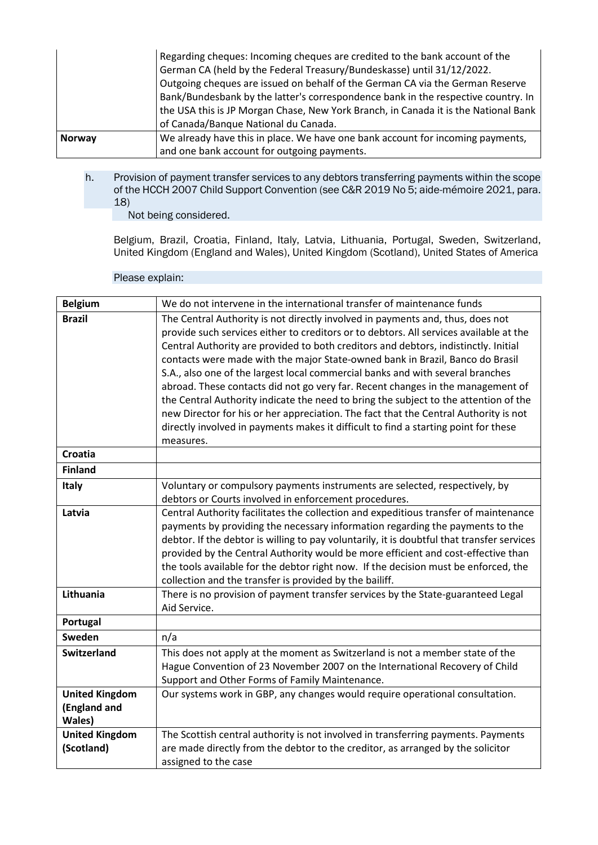|               | Regarding cheques: Incoming cheques are credited to the bank account of the<br>German CA (held by the Federal Treasury/Bundeskasse) until 31/12/2022.<br>Outgoing cheques are issued on behalf of the German CA via the German Reserve<br>Bank/Bundesbank by the latter's correspondence bank in the respective country. In<br>the USA this is JP Morgan Chase, New York Branch, in Canada it is the National Bank |
|---------------|--------------------------------------------------------------------------------------------------------------------------------------------------------------------------------------------------------------------------------------------------------------------------------------------------------------------------------------------------------------------------------------------------------------------|
|               | of Canada/Banque National du Canada.                                                                                                                                                                                                                                                                                                                                                                               |
| <b>Norway</b> | We already have this in place. We have one bank account for incoming payments,                                                                                                                                                                                                                                                                                                                                     |
|               | and one bank account for outgoing payments.                                                                                                                                                                                                                                                                                                                                                                        |

h. Provision of payment transfer services to any debtors transferring payments within the scope of the HCCH 2007 Child Support Convention (see C&R 2019 No 5; aide-mémoire 2021, para. 18)

Not being considered.

Belgium, Brazil, Croatia, Finland, Italy, Latvia, Lithuania, Portugal, Sweden, Switzerland, United Kingdom (England and Wales), United Kingdom (Scotland), United States of America

| <b>Belgium</b>                                  | We do not intervene in the international transfer of maintenance funds                                                                                                                                                                                                                                                                                                                                                                                                                                                                                                                                                                                                                                                                                                                                    |
|-------------------------------------------------|-----------------------------------------------------------------------------------------------------------------------------------------------------------------------------------------------------------------------------------------------------------------------------------------------------------------------------------------------------------------------------------------------------------------------------------------------------------------------------------------------------------------------------------------------------------------------------------------------------------------------------------------------------------------------------------------------------------------------------------------------------------------------------------------------------------|
| <b>Brazil</b>                                   | The Central Authority is not directly involved in payments and, thus, does not<br>provide such services either to creditors or to debtors. All services available at the<br>Central Authority are provided to both creditors and debtors, indistinctly. Initial<br>contacts were made with the major State-owned bank in Brazil, Banco do Brasil<br>S.A., also one of the largest local commercial banks and with several branches<br>abroad. These contacts did not go very far. Recent changes in the management of<br>the Central Authority indicate the need to bring the subject to the attention of the<br>new Director for his or her appreciation. The fact that the Central Authority is not<br>directly involved in payments makes it difficult to find a starting point for these<br>measures. |
| <b>Croatia</b>                                  |                                                                                                                                                                                                                                                                                                                                                                                                                                                                                                                                                                                                                                                                                                                                                                                                           |
| <b>Finland</b>                                  |                                                                                                                                                                                                                                                                                                                                                                                                                                                                                                                                                                                                                                                                                                                                                                                                           |
| <b>Italy</b>                                    | Voluntary or compulsory payments instruments are selected, respectively, by<br>debtors or Courts involved in enforcement procedures.                                                                                                                                                                                                                                                                                                                                                                                                                                                                                                                                                                                                                                                                      |
| Latvia                                          | Central Authority facilitates the collection and expeditious transfer of maintenance<br>payments by providing the necessary information regarding the payments to the<br>debtor. If the debtor is willing to pay voluntarily, it is doubtful that transfer services<br>provided by the Central Authority would be more efficient and cost-effective than<br>the tools available for the debtor right now. If the decision must be enforced, the<br>collection and the transfer is provided by the bailiff.                                                                                                                                                                                                                                                                                                |
| Lithuania                                       | There is no provision of payment transfer services by the State-guaranteed Legal<br>Aid Service.                                                                                                                                                                                                                                                                                                                                                                                                                                                                                                                                                                                                                                                                                                          |
| Portugal                                        |                                                                                                                                                                                                                                                                                                                                                                                                                                                                                                                                                                                                                                                                                                                                                                                                           |
| Sweden                                          | n/a                                                                                                                                                                                                                                                                                                                                                                                                                                                                                                                                                                                                                                                                                                                                                                                                       |
| <b>Switzerland</b>                              | This does not apply at the moment as Switzerland is not a member state of the<br>Hague Convention of 23 November 2007 on the International Recovery of Child<br>Support and Other Forms of Family Maintenance.                                                                                                                                                                                                                                                                                                                                                                                                                                                                                                                                                                                            |
| <b>United Kingdom</b><br>(England and<br>Wales) | Our systems work in GBP, any changes would require operational consultation.                                                                                                                                                                                                                                                                                                                                                                                                                                                                                                                                                                                                                                                                                                                              |
| <b>United Kingdom</b><br>(Scotland)             | The Scottish central authority is not involved in transferring payments. Payments<br>are made directly from the debtor to the creditor, as arranged by the solicitor<br>assigned to the case                                                                                                                                                                                                                                                                                                                                                                                                                                                                                                                                                                                                              |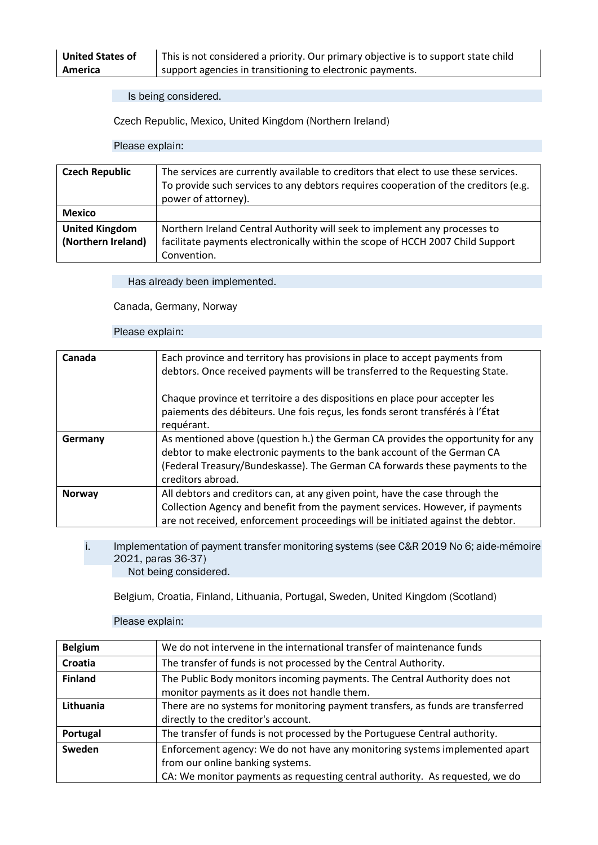| <b>United States of</b> |  |
|-------------------------|--|
| America                 |  |

This is not considered a priority. Our primary objective is to support state child support agencies in transitioning to electronic payments.

Is being considered.

Czech Republic, Mexico, United Kingdom (Northern Ireland)

#### Please explain:

| <b>Czech Republic</b>                       | The services are currently available to creditors that elect to use these services.<br>To provide such services to any debtors requires cooperation of the creditors (e.g.<br>power of attorney). |
|---------------------------------------------|---------------------------------------------------------------------------------------------------------------------------------------------------------------------------------------------------|
| <b>Mexico</b>                               |                                                                                                                                                                                                   |
| <b>United Kingdom</b><br>(Northern Ireland) | Northern Ireland Central Authority will seek to implement any processes to<br>facilitate payments electronically within the scope of HCCH 2007 Child Support                                      |
|                                             | Convention.                                                                                                                                                                                       |

Has already been implemented.

Canada, Germany, Norway

#### Please explain:

| Canada        | Each province and territory has provisions in place to accept payments from<br>debtors. Once received payments will be transferred to the Requesting State.                                                                                                     |
|---------------|-----------------------------------------------------------------------------------------------------------------------------------------------------------------------------------------------------------------------------------------------------------------|
|               | Chaque province et territoire a des dispositions en place pour accepter les<br>paiements des débiteurs. Une fois reçus, les fonds seront transférés à l'État<br>requérant.                                                                                      |
| Germany       | As mentioned above (question h.) the German CA provides the opportunity for any<br>debtor to make electronic payments to the bank account of the German CA<br>(Federal Treasury/Bundeskasse). The German CA forwards these payments to the<br>creditors abroad. |
| <b>Norway</b> | All debtors and creditors can, at any given point, have the case through the<br>Collection Agency and benefit from the payment services. However, if payments<br>are not received, enforcement proceedings will be initiated against the debtor.                |

i. Implementation of payment transfer monitoring systems (see C&R 2019 No 6; aide-mémoire 2021, paras 36-37) Not being considered.

Belgium, Croatia, Finland, Lithuania, Portugal, Sweden, United Kingdom (Scotland)

| <b>Belgium</b> | We do not intervene in the international transfer of maintenance funds          |
|----------------|---------------------------------------------------------------------------------|
| Croatia        | The transfer of funds is not processed by the Central Authority.                |
| <b>Finland</b> | The Public Body monitors incoming payments. The Central Authority does not      |
|                | monitor payments as it does not handle them.                                    |
| Lithuania      | There are no systems for monitoring payment transfers, as funds are transferred |
|                | directly to the creditor's account.                                             |
| Portugal       | The transfer of funds is not processed by the Portuguese Central authority.     |
| Sweden         | Enforcement agency: We do not have any monitoring systems implemented apart     |
|                | from our online banking systems.                                                |
|                | CA: We monitor payments as requesting central authority. As requested, we do    |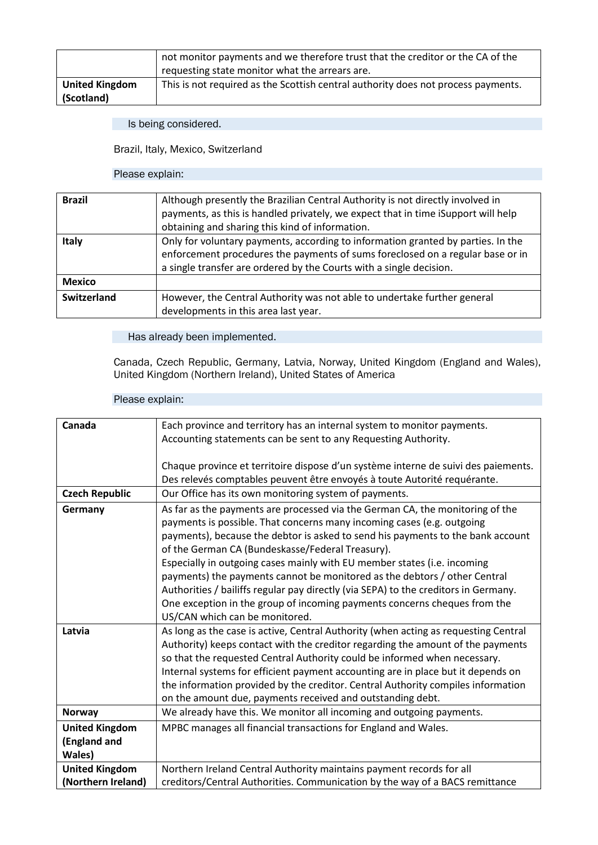|                                     | not monitor payments and we therefore trust that the creditor or the CA of the<br>requesting state monitor what the arrears are. |
|-------------------------------------|----------------------------------------------------------------------------------------------------------------------------------|
| <b>United Kingdom</b><br>(Scotland) | This is not required as the Scottish central authority does not process payments.                                                |

Is being considered.

Brazil, Italy, Mexico, Switzerland

### Please explain:

| <b>Brazil</b>      | Although presently the Brazilian Central Authority is not directly involved in<br>payments, as this is handled privately, we expect that in time iSupport will help<br>obtaining and sharing this kind of information.                    |
|--------------------|-------------------------------------------------------------------------------------------------------------------------------------------------------------------------------------------------------------------------------------------|
| <b>Italy</b>       | Only for voluntary payments, according to information granted by parties. In the<br>enforcement procedures the payments of sums foreclosed on a regular base or in<br>a single transfer are ordered by the Courts with a single decision. |
| <b>Mexico</b>      |                                                                                                                                                                                                                                           |
| <b>Switzerland</b> | However, the Central Authority was not able to undertake further general<br>developments in this area last year.                                                                                                                          |

### Has already been implemented.

Canada, Czech Republic, Germany, Latvia, Norway, United Kingdom (England and Wales), United Kingdom (Northern Ireland), United States of America

| Canada                | Each province and territory has an internal system to monitor payments.                                                                                        |
|-----------------------|----------------------------------------------------------------------------------------------------------------------------------------------------------------|
|                       | Accounting statements can be sent to any Requesting Authority.                                                                                                 |
|                       |                                                                                                                                                                |
|                       | Chaque province et territoire dispose d'un système interne de suivi des paiements.<br>Des relevés comptables peuvent être envoyés à toute Autorité requérante. |
|                       |                                                                                                                                                                |
| <b>Czech Republic</b> | Our Office has its own monitoring system of payments.                                                                                                          |
| Germany               | As far as the payments are processed via the German CA, the monitoring of the                                                                                  |
|                       | payments is possible. That concerns many incoming cases (e.g. outgoing                                                                                         |
|                       | payments), because the debtor is asked to send his payments to the bank account                                                                                |
|                       | of the German CA (Bundeskasse/Federal Treasury).                                                                                                               |
|                       | Especially in outgoing cases mainly with EU member states (i.e. incoming                                                                                       |
|                       | payments) the payments cannot be monitored as the debtors / other Central                                                                                      |
|                       | Authorities / bailiffs regular pay directly (via SEPA) to the creditors in Germany.                                                                            |
|                       | One exception in the group of incoming payments concerns cheques from the                                                                                      |
|                       | US/CAN which can be monitored.                                                                                                                                 |
| Latvia                | As long as the case is active, Central Authority (when acting as requesting Central                                                                            |
|                       | Authority) keeps contact with the creditor regarding the amount of the payments                                                                                |
|                       | so that the requested Central Authority could be informed when necessary.                                                                                      |
|                       | Internal systems for efficient payment accounting are in place but it depends on                                                                               |
|                       | the information provided by the creditor. Central Authority compiles information                                                                               |
|                       | on the amount due, payments received and outstanding debt.                                                                                                     |
| <b>Norway</b>         | We already have this. We monitor all incoming and outgoing payments.                                                                                           |
| <b>United Kingdom</b> | MPBC manages all financial transactions for England and Wales.                                                                                                 |
| (England and          |                                                                                                                                                                |
| Wales)                |                                                                                                                                                                |
| <b>United Kingdom</b> | Northern Ireland Central Authority maintains payment records for all                                                                                           |
| (Northern Ireland)    | creditors/Central Authorities. Communication by the way of a BACS remittance                                                                                   |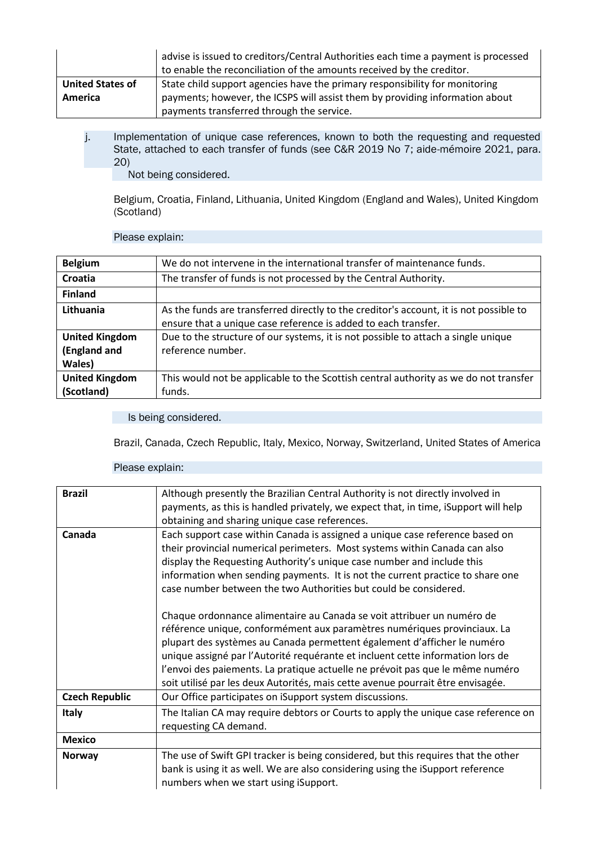|                         | advise is issued to creditors/Central Authorities each time a payment is processed<br>to enable the reconciliation of the amounts received by the creditor. |
|-------------------------|-------------------------------------------------------------------------------------------------------------------------------------------------------------|
| <b>United States of</b> | State child support agencies have the primary responsibility for monitoring                                                                                 |
| America                 | payments; however, the ICSPS will assist them by providing information about                                                                                |
|                         | payments transferred through the service.                                                                                                                   |

j. Implementation of unique case references, known to both the requesting and requested State, attached to each transfer of funds (see C&R 2019 No 7; aide-mémoire 2021, para. 20)

Not being considered.

Belgium, Croatia, Finland, Lithuania, United Kingdom (England and Wales), United Kingdom (Scotland)

### Please explain:

| <b>Belgium</b>                                  | We do not intervene in the international transfer of maintenance funds.                                                                                  |
|-------------------------------------------------|----------------------------------------------------------------------------------------------------------------------------------------------------------|
| Croatia                                         | The transfer of funds is not processed by the Central Authority.                                                                                         |
| <b>Finland</b>                                  |                                                                                                                                                          |
| Lithuania                                       | As the funds are transferred directly to the creditor's account, it is not possible to<br>ensure that a unique case reference is added to each transfer. |
| <b>United Kingdom</b><br>(England and<br>Wales) | Due to the structure of our systems, it is not possible to attach a single unique<br>reference number.                                                   |
| <b>United Kingdom</b><br>(Scotland)             | This would not be applicable to the Scottish central authority as we do not transfer<br>funds.                                                           |

Is being considered.

Brazil, Canada, Czech Republic, Italy, Mexico, Norway, Switzerland, United States of America

| <b>Brazil</b>         | Although presently the Brazilian Central Authority is not directly involved in                                                                             |
|-----------------------|------------------------------------------------------------------------------------------------------------------------------------------------------------|
|                       | payments, as this is handled privately, we expect that, in time, iSupport will help                                                                        |
|                       | obtaining and sharing unique case references.                                                                                                              |
| Canada                | Each support case within Canada is assigned a unique case reference based on<br>their provincial numerical perimeters. Most systems within Canada can also |
|                       | display the Requesting Authority's unique case number and include this                                                                                     |
|                       | information when sending payments. It is not the current practice to share one                                                                             |
|                       | case number between the two Authorities but could be considered.                                                                                           |
|                       |                                                                                                                                                            |
|                       | Chaque ordonnance alimentaire au Canada se voit attribuer un numéro de                                                                                     |
|                       | référence unique, conformément aux paramètres numériques provinciaux. La                                                                                   |
|                       | plupart des systèmes au Canada permettent également d'afficher le numéro                                                                                   |
|                       | unique assigné par l'Autorité requérante et incluent cette information lors de                                                                             |
|                       | l'envoi des paiements. La pratique actuelle ne prévoit pas que le même numéro                                                                              |
|                       | soit utilisé par les deux Autorités, mais cette avenue pourrait être envisagée.                                                                            |
| <b>Czech Republic</b> | Our Office participates on iSupport system discussions.                                                                                                    |
| <b>Italy</b>          | The Italian CA may require debtors or Courts to apply the unique case reference on                                                                         |
|                       | requesting CA demand.                                                                                                                                      |
| <b>Mexico</b>         |                                                                                                                                                            |
| <b>Norway</b>         | The use of Swift GPI tracker is being considered, but this requires that the other                                                                         |
|                       | bank is using it as well. We are also considering using the iSupport reference                                                                             |
|                       | numbers when we start using iSupport.                                                                                                                      |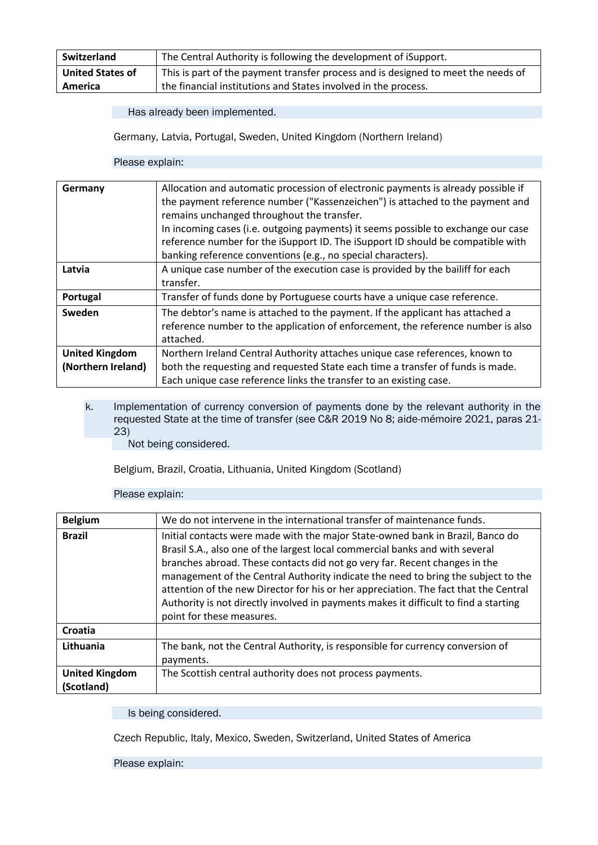| Switzerland             | The Central Authority is following the development of iSupport.                   |
|-------------------------|-----------------------------------------------------------------------------------|
| <b>United States of</b> | This is part of the payment transfer process and is designed to meet the needs of |
| <b>America</b>          | the financial institutions and States involved in the process.                    |

Germany, Latvia, Portugal, Sweden, United Kingdom (Northern Ireland)

Please explain:

| Germany               | Allocation and automatic procession of electronic payments is already possible if |
|-----------------------|-----------------------------------------------------------------------------------|
|                       | the payment reference number ("Kassenzeichen") is attached to the payment and     |
|                       | remains unchanged throughout the transfer.                                        |
|                       | In incoming cases (i.e. outgoing payments) it seems possible to exchange our case |
|                       | reference number for the iSupport ID. The iSupport ID should be compatible with   |
|                       | banking reference conventions (e.g., no special characters).                      |
| Latvia                | A unique case number of the execution case is provided by the bailiff for each    |
|                       | transfer.                                                                         |
| Portugal              | Transfer of funds done by Portuguese courts have a unique case reference.         |
| Sweden                | The debtor's name is attached to the payment. If the applicant has attached a     |
|                       | reference number to the application of enforcement, the reference number is also  |
|                       | attached.                                                                         |
| <b>United Kingdom</b> | Northern Ireland Central Authority attaches unique case references, known to      |
| (Northern Ireland)    | both the requesting and requested State each time a transfer of funds is made.    |
|                       | Each unique case reference links the transfer to an existing case.                |

k. Implementation of currency conversion of payments done by the relevant authority in the requested State at the time of transfer (see C&R 2019 No 8; aide-mémoire 2021, paras 21- 23)

Not being considered.

Belgium, Brazil, Croatia, Lithuania, United Kingdom (Scotland)

### Please explain:

| <b>Belgium</b>        | We do not intervene in the international transfer of maintenance funds.                                                                                                                                                                                                                                                                                                                                                                                                                                                                        |
|-----------------------|------------------------------------------------------------------------------------------------------------------------------------------------------------------------------------------------------------------------------------------------------------------------------------------------------------------------------------------------------------------------------------------------------------------------------------------------------------------------------------------------------------------------------------------------|
| <b>Brazil</b>         | Initial contacts were made with the major State-owned bank in Brazil, Banco do<br>Brasil S.A., also one of the largest local commercial banks and with several<br>branches abroad. These contacts did not go very far. Recent changes in the<br>management of the Central Authority indicate the need to bring the subject to the<br>attention of the new Director for his or her appreciation. The fact that the Central<br>Authority is not directly involved in payments makes it difficult to find a starting<br>point for these measures. |
| Croatia               |                                                                                                                                                                                                                                                                                                                                                                                                                                                                                                                                                |
| Lithuania             | The bank, not the Central Authority, is responsible for currency conversion of<br>payments.                                                                                                                                                                                                                                                                                                                                                                                                                                                    |
| <b>United Kingdom</b> | The Scottish central authority does not process payments.                                                                                                                                                                                                                                                                                                                                                                                                                                                                                      |
| (Scotland)            |                                                                                                                                                                                                                                                                                                                                                                                                                                                                                                                                                |

Is being considered.

Czech Republic, Italy, Mexico, Sweden, Switzerland, United States of America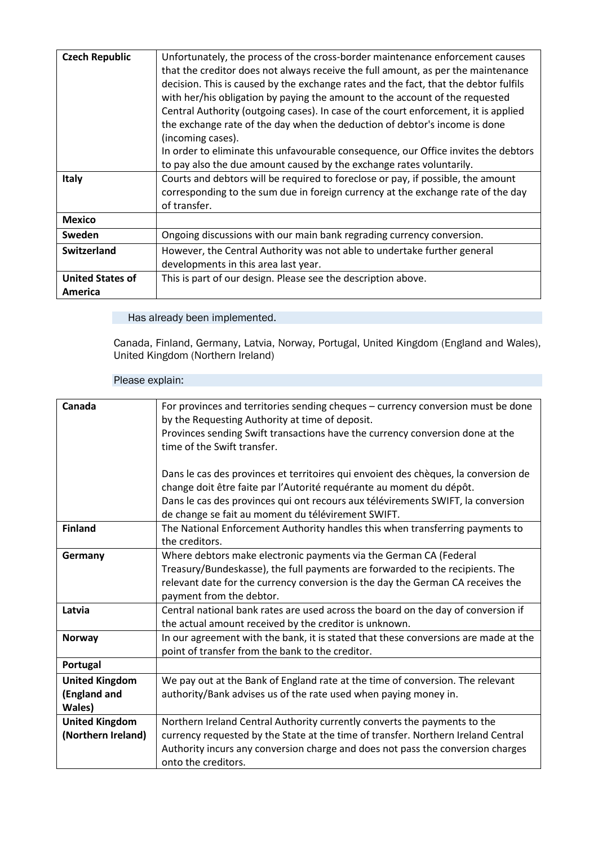| <b>Czech Republic</b>   | Unfortunately, the process of the cross-border maintenance enforcement causes        |
|-------------------------|--------------------------------------------------------------------------------------|
|                         | that the creditor does not always receive the full amount, as per the maintenance    |
|                         | decision. This is caused by the exchange rates and the fact, that the debtor fulfils |
|                         | with her/his obligation by paying the amount to the account of the requested         |
|                         | Central Authority (outgoing cases). In case of the court enforcement, it is applied  |
|                         | the exchange rate of the day when the deduction of debtor's income is done           |
|                         | (incoming cases).                                                                    |
|                         | In order to eliminate this unfavourable consequence, our Office invites the debtors  |
|                         | to pay also the due amount caused by the exchange rates voluntarily.                 |
| <b>Italy</b>            | Courts and debtors will be required to foreclose or pay, if possible, the amount     |
|                         | corresponding to the sum due in foreign currency at the exchange rate of the day     |
|                         | of transfer.                                                                         |
| <b>Mexico</b>           |                                                                                      |
| <b>Sweden</b>           | Ongoing discussions with our main bank regrading currency conversion.                |
| Switzerland             | However, the Central Authority was not able to undertake further general             |
|                         | developments in this area last year.                                                 |
| <b>United States of</b> | This is part of our design. Please see the description above.                        |
| America                 |                                                                                      |

Canada, Finland, Germany, Latvia, Norway, Portugal, United Kingdom (England and Wales), United Kingdom (Northern Ireland)

| Canada                | For provinces and territories sending cheques - currency conversion must be done    |
|-----------------------|-------------------------------------------------------------------------------------|
|                       | by the Requesting Authority at time of deposit.                                     |
|                       | Provinces sending Swift transactions have the currency conversion done at the       |
|                       | time of the Swift transfer.                                                         |
|                       |                                                                                     |
|                       | Dans le cas des provinces et territoires qui envoient des chèques, la conversion de |
|                       | change doit être faite par l'Autorité requérante au moment du dépôt.                |
|                       | Dans le cas des provinces qui ont recours aux télévirements SWIFT, la conversion    |
|                       | de change se fait au moment du télévirement SWIFT.                                  |
| <b>Finland</b>        | The National Enforcement Authority handles this when transferring payments to       |
|                       | the creditors.                                                                      |
| Germany               | Where debtors make electronic payments via the German CA (Federal                   |
|                       | Treasury/Bundeskasse), the full payments are forwarded to the recipients. The       |
|                       | relevant date for the currency conversion is the day the German CA receives the     |
|                       | payment from the debtor.                                                            |
| Latvia                | Central national bank rates are used across the board on the day of conversion if   |
|                       | the actual amount received by the creditor is unknown.                              |
| <b>Norway</b>         | In our agreement with the bank, it is stated that these conversions are made at the |
|                       | point of transfer from the bank to the creditor.                                    |
| Portugal              |                                                                                     |
| <b>United Kingdom</b> | We pay out at the Bank of England rate at the time of conversion. The relevant      |
| (England and          | authority/Bank advises us of the rate used when paying money in.                    |
| Wales)                |                                                                                     |
| <b>United Kingdom</b> | Northern Ireland Central Authority currently converts the payments to the           |
| (Northern Ireland)    | currency requested by the State at the time of transfer. Northern Ireland Central   |
|                       | Authority incurs any conversion charge and does not pass the conversion charges     |
|                       | onto the creditors.                                                                 |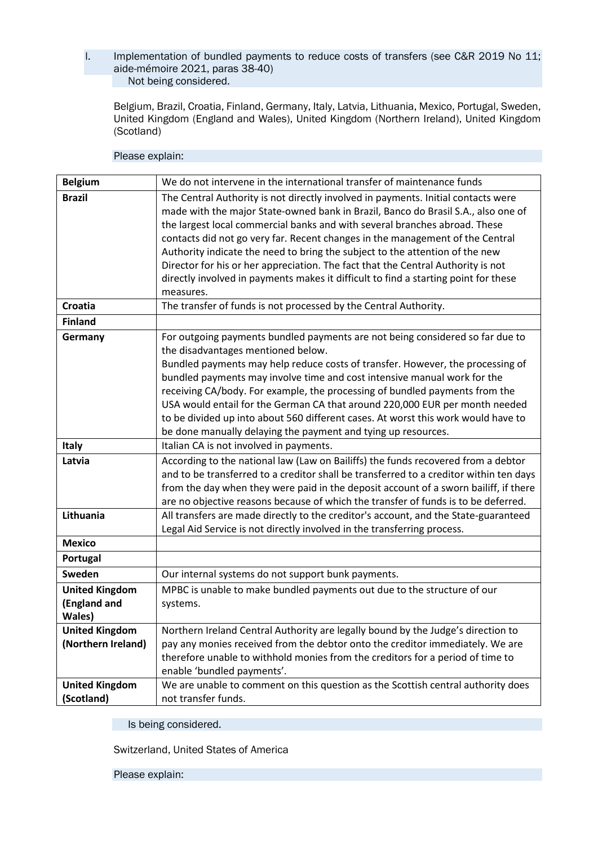### l. Implementation of bundled payments to reduce costs of transfers (see C&R 2019 No 11; aide-mémoire 2021, paras 38-40) Not being considered.

Belgium, Brazil, Croatia, Finland, Germany, Italy, Latvia, Lithuania, Mexico, Portugal, Sweden, United Kingdom (England and Wales), United Kingdom (Northern Ireland), United Kingdom (Scotland)

### Please explain:

| <b>Belgium</b>                                  | We do not intervene in the international transfer of maintenance funds                                                                                                                                                                                                                                                                                                                                                                                                                                                                                                                                        |
|-------------------------------------------------|---------------------------------------------------------------------------------------------------------------------------------------------------------------------------------------------------------------------------------------------------------------------------------------------------------------------------------------------------------------------------------------------------------------------------------------------------------------------------------------------------------------------------------------------------------------------------------------------------------------|
| <b>Brazil</b>                                   | The Central Authority is not directly involved in payments. Initial contacts were<br>made with the major State-owned bank in Brazil, Banco do Brasil S.A., also one of<br>the largest local commercial banks and with several branches abroad. These<br>contacts did not go very far. Recent changes in the management of the Central<br>Authority indicate the need to bring the subject to the attention of the new<br>Director for his or her appreciation. The fact that the Central Authority is not<br>directly involved in payments makes it difficult to find a starting point for these<br>measures. |
| Croatia                                         | The transfer of funds is not processed by the Central Authority.                                                                                                                                                                                                                                                                                                                                                                                                                                                                                                                                              |
| <b>Finland</b>                                  |                                                                                                                                                                                                                                                                                                                                                                                                                                                                                                                                                                                                               |
| Germany                                         | For outgoing payments bundled payments are not being considered so far due to<br>the disadvantages mentioned below.<br>Bundled payments may help reduce costs of transfer. However, the processing of<br>bundled payments may involve time and cost intensive manual work for the<br>receiving CA/body. For example, the processing of bundled payments from the<br>USA would entail for the German CA that around 220,000 EUR per month needed<br>to be divided up into about 560 different cases. At worst this work would have to<br>be done manually delaying the payment and tying up resources.         |
| <b>Italy</b>                                    | Italian CA is not involved in payments.                                                                                                                                                                                                                                                                                                                                                                                                                                                                                                                                                                       |
| Latvia                                          | According to the national law (Law on Bailiffs) the funds recovered from a debtor<br>and to be transferred to a creditor shall be transferred to a creditor within ten days<br>from the day when they were paid in the deposit account of a sworn bailiff, if there<br>are no objective reasons because of which the transfer of funds is to be deferred.                                                                                                                                                                                                                                                     |
| Lithuania                                       | All transfers are made directly to the creditor's account, and the State-guaranteed<br>Legal Aid Service is not directly involved in the transferring process.                                                                                                                                                                                                                                                                                                                                                                                                                                                |
| <b>Mexico</b>                                   |                                                                                                                                                                                                                                                                                                                                                                                                                                                                                                                                                                                                               |
| Portugal                                        |                                                                                                                                                                                                                                                                                                                                                                                                                                                                                                                                                                                                               |
| Sweden                                          | Our internal systems do not support bunk payments.                                                                                                                                                                                                                                                                                                                                                                                                                                                                                                                                                            |
| <b>United Kingdom</b><br>(England and<br>Wales) | MPBC is unable to make bundled payments out due to the structure of our<br>systems.                                                                                                                                                                                                                                                                                                                                                                                                                                                                                                                           |
| <b>United Kingdom</b><br>(Northern Ireland)     | Northern Ireland Central Authority are legally bound by the Judge's direction to<br>pay any monies received from the debtor onto the creditor immediately. We are<br>therefore unable to withhold monies from the creditors for a period of time to<br>enable 'bundled payments'.                                                                                                                                                                                                                                                                                                                             |
| <b>United Kingdom</b><br>(Scotland)             | We are unable to comment on this question as the Scottish central authority does<br>not transfer funds.                                                                                                                                                                                                                                                                                                                                                                                                                                                                                                       |

Is being considered.

Switzerland, United States of America